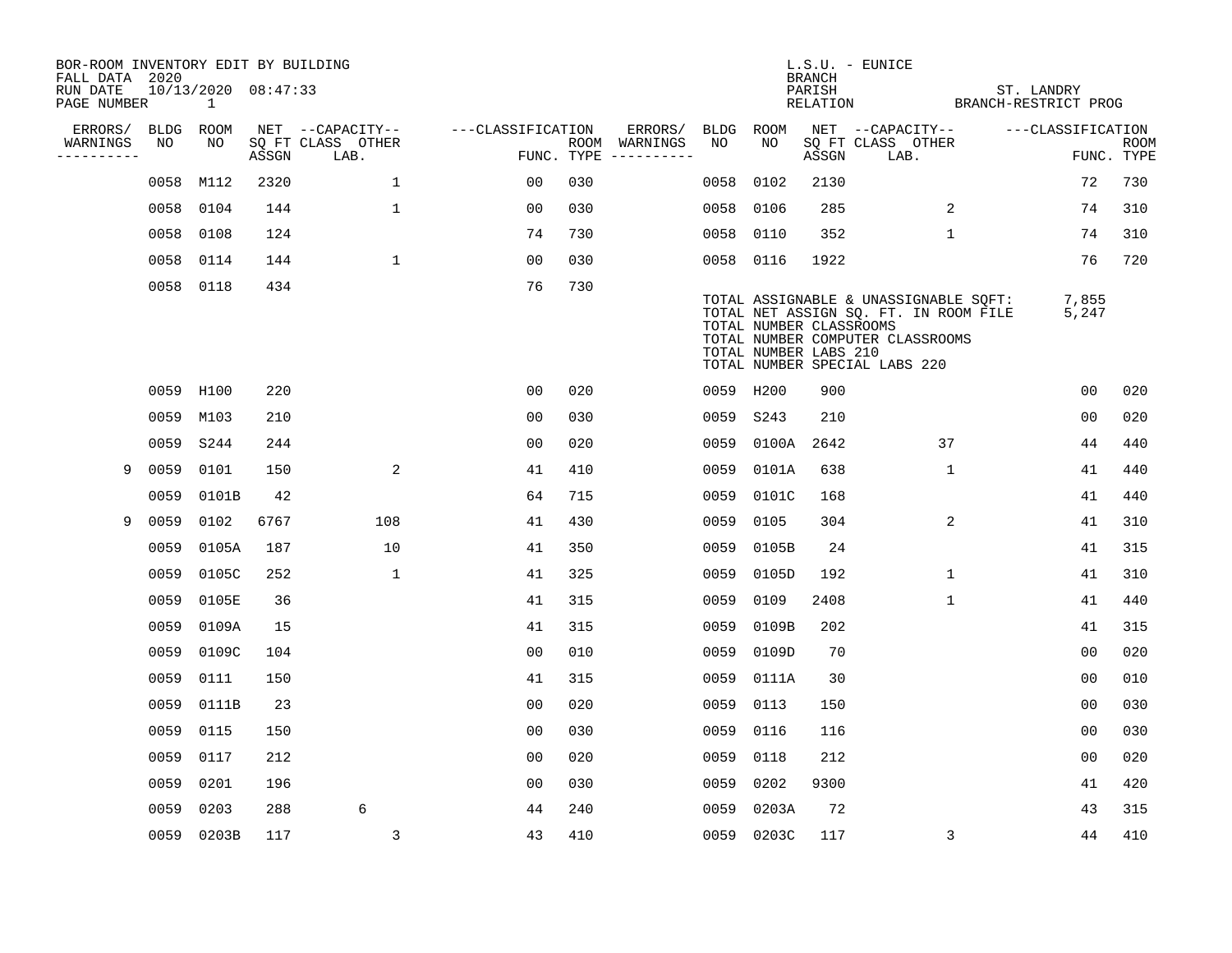| BOR-ROOM INVENTORY EDIT BY BUILDING       |      |                          |       |                           |                   |     |                                      |      |                                                  | <b>BRANCH</b>      | L.S.U. - EUNICE                                                                                                                                     |                                    |                           |
|-------------------------------------------|------|--------------------------|-------|---------------------------|-------------------|-----|--------------------------------------|------|--------------------------------------------------|--------------------|-----------------------------------------------------------------------------------------------------------------------------------------------------|------------------------------------|---------------------------|
| FALL DATA 2020<br>RUN DATE<br>PAGE NUMBER |      | 10/13/2020 08:47:33<br>1 |       |                           |                   |     |                                      |      |                                                  | PARISH<br>RELATION |                                                                                                                                                     | ST. LANDRY<br>BRANCH-RESTRICT PROG |                           |
| ERRORS/                                   | BLDG | ROOM                     |       | NET --CAPACITY--          | ---CLASSIFICATION |     | ERRORS/                              | BLDG | ROOM                                             |                    | NET --CAPACITY--                                                                                                                                    | ---CLASSIFICATION                  |                           |
| WARNINGS<br>----------                    | NO   | NO                       | ASSGN | SQ FT CLASS OTHER<br>LAB. |                   |     | ROOM WARNINGS<br>FUNC. TYPE $------$ | NO.  | NO                                               | ASSGN              | SQ FT CLASS OTHER<br>LAB.                                                                                                                           |                                    | <b>ROOM</b><br>FUNC. TYPE |
|                                           | 0058 | M112                     | 2320  | $\mathbf{1}$              | 00                | 030 |                                      | 0058 | 0102                                             | 2130               |                                                                                                                                                     | 72                                 | 730                       |
|                                           |      | 0058 0104                | 144   | $\mathbf 1$               | 0 <sub>0</sub>    | 030 |                                      | 0058 | 0106                                             | 285                | 2                                                                                                                                                   | 74                                 | 310                       |
|                                           |      | 0058 0108                | 124   |                           | 74                | 730 |                                      | 0058 | 0110                                             | 352                | $\mathbf{1}$                                                                                                                                        | 74                                 | 310                       |
|                                           |      | 0058 0114                | 144   | $\mathbf{1}$              | 0 <sub>0</sub>    | 030 |                                      |      | 0058 0116                                        | 1922               |                                                                                                                                                     | 76                                 | 720                       |
|                                           |      | 0058 0118                | 434   |                           | 76                | 730 |                                      |      | TOTAL NUMBER CLASSROOMS<br>TOTAL NUMBER LABS 210 |                    | TOTAL ASSIGNABLE & UNASSIGNABLE SQFT:<br>TOTAL NET ASSIGN SQ. FT. IN ROOM FILE<br>TOTAL NUMBER COMPUTER CLASSROOMS<br>TOTAL NUMBER SPECIAL LABS 220 | 7,855<br>5,247                     |                           |
|                                           |      | 0059 H100                | 220   |                           | 0 <sub>0</sub>    | 020 |                                      |      | 0059 H200                                        | 900                |                                                                                                                                                     | 0 <sub>0</sub>                     | 020                       |
|                                           |      | 0059 M103                | 210   |                           | 0 <sub>0</sub>    | 030 |                                      |      | 0059 S243                                        | 210                |                                                                                                                                                     | 0 <sub>0</sub>                     | 020                       |
|                                           | 0059 | S244                     | 244   |                           | 0 <sub>0</sub>    | 020 |                                      | 0059 | 0100A                                            | 2642               | 37                                                                                                                                                  | 44                                 | 440                       |
| 9                                         | 0059 | 0101                     | 150   | 2                         | 41                | 410 |                                      | 0059 | 0101A                                            | 638                | $\mathbf{1}$                                                                                                                                        | 41                                 | 440                       |
|                                           | 0059 | 0101B                    | 42    |                           | 64                | 715 |                                      | 0059 | 0101C                                            | 168                |                                                                                                                                                     | 41                                 | 440                       |
| 9                                         | 0059 | 0102                     | 6767  | 108                       | 41                | 430 |                                      | 0059 | 0105                                             | 304                | 2                                                                                                                                                   | 41                                 | 310                       |
|                                           | 0059 | 0105A                    | 187   | 10                        | 41                | 350 |                                      | 0059 | 0105B                                            | 24                 |                                                                                                                                                     | 41                                 | 315                       |
|                                           | 0059 | 0105C                    | 252   | $\mathbf{1}$              | 41                | 325 |                                      | 0059 | 0105D                                            | 192                | $\mathbf 1$                                                                                                                                         | 41                                 | 310                       |
|                                           | 0059 | 0105E                    | 36    |                           | 41                | 315 |                                      | 0059 | 0109                                             | 2408               | $\mathbf 1$                                                                                                                                         | 41                                 | 440                       |
|                                           | 0059 | 0109A                    | 15    |                           | 41                | 315 |                                      | 0059 | 0109B                                            | 202                |                                                                                                                                                     | 41                                 | 315                       |
|                                           | 0059 | 0109C                    | 104   |                           | 0 <sub>0</sub>    | 010 |                                      | 0059 | 0109D                                            | 70                 |                                                                                                                                                     | 0 <sub>0</sub>                     | 020                       |
|                                           | 0059 | 0111                     | 150   |                           | 41                | 315 |                                      | 0059 | 0111A                                            | 30                 |                                                                                                                                                     | 00                                 | 010                       |
|                                           | 0059 | 0111B                    | 23    |                           | 0 <sub>0</sub>    | 020 |                                      | 0059 | 0113                                             | 150                |                                                                                                                                                     | 0 <sub>0</sub>                     | 030                       |
|                                           | 0059 | 0115                     | 150   |                           | 0 <sub>0</sub>    | 030 |                                      | 0059 | 0116                                             | 116                |                                                                                                                                                     | 0 <sub>0</sub>                     | 030                       |
|                                           | 0059 | 0117                     | 212   |                           | 0 <sub>0</sub>    | 020 |                                      | 0059 | 0118                                             | 212                |                                                                                                                                                     | 0 <sub>0</sub>                     | 020                       |
|                                           | 0059 | 0201                     | 196   |                           | 0 <sub>0</sub>    | 030 |                                      | 0059 | 0202                                             | 9300               |                                                                                                                                                     | 41                                 | 420                       |
|                                           | 0059 | 0203                     | 288   | 6                         | 44                | 240 |                                      | 0059 | 0203A                                            | 72                 |                                                                                                                                                     | 43                                 | 315                       |
|                                           |      | 0059 0203B               | 117   | 3                         | 43                | 410 |                                      |      | 0059 0203C                                       | 117                | 3                                                                                                                                                   | 44                                 | 410                       |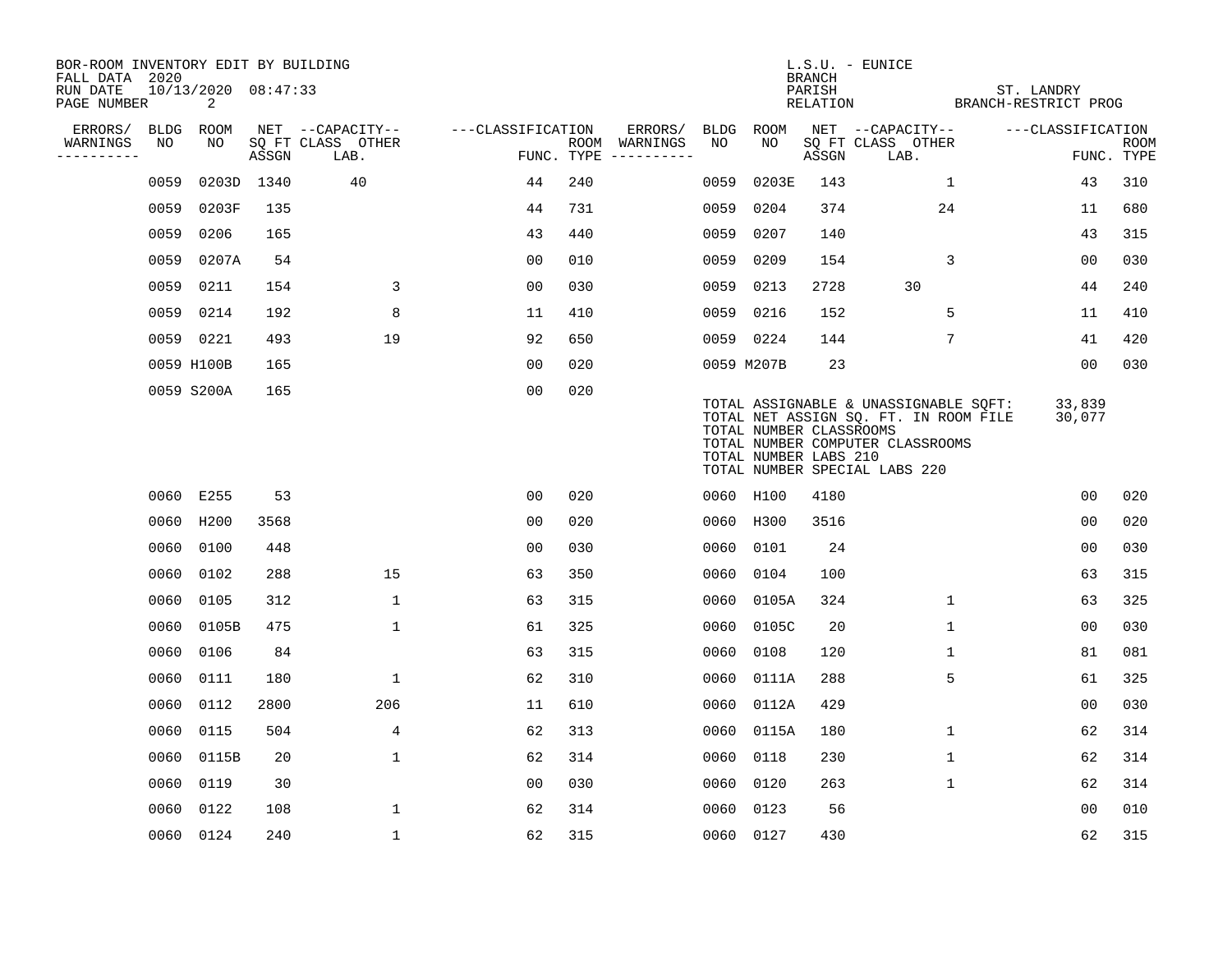| BOR-ROOM INVENTORY EDIT BY BUILDING<br>FALL DATA 2020 |      |                          |       |                           |                   |     |                                      |      |                                                  | <b>BRANCH</b>      | L.S.U. - EUNICE                                                                                                                                     |                                    |                           |
|-------------------------------------------------------|------|--------------------------|-------|---------------------------|-------------------|-----|--------------------------------------|------|--------------------------------------------------|--------------------|-----------------------------------------------------------------------------------------------------------------------------------------------------|------------------------------------|---------------------------|
| RUN DATE<br>PAGE NUMBER                               |      | 10/13/2020 08:47:33<br>2 |       |                           |                   |     |                                      |      |                                                  | PARISH<br>RELATION |                                                                                                                                                     | ST. LANDRY<br>BRANCH-RESTRICT PROG |                           |
| ERRORS/                                               | BLDG | ROOM                     |       | NET --CAPACITY--          | ---CLASSIFICATION |     | ERRORS/                              | BLDG | ROOM                                             |                    | NET --CAPACITY--                                                                                                                                    | ---CLASSIFICATION                  |                           |
| WARNINGS<br>----------                                | NO   | NO                       | ASSGN | SQ FT CLASS OTHER<br>LAB. |                   |     | ROOM WARNINGS<br>FUNC. TYPE $------$ | NO   | NO                                               | ASSGN              | SQ FT CLASS OTHER<br>LAB.                                                                                                                           |                                    | <b>ROOM</b><br>FUNC. TYPE |
|                                                       | 0059 | 0203D 1340               |       | 40                        | 44                | 240 |                                      | 0059 | 0203E                                            | 143                | $\mathbf{1}$                                                                                                                                        | 43                                 | 310                       |
|                                                       | 0059 | 0203F                    | 135   |                           | 44                | 731 |                                      | 0059 | 0204                                             | 374                | 24                                                                                                                                                  | 11                                 | 680                       |
|                                                       | 0059 | 0206                     | 165   |                           | 43                | 440 |                                      | 0059 | 0207                                             | 140                |                                                                                                                                                     | 43                                 | 315                       |
|                                                       | 0059 | 0207A                    | 54    |                           | 0 <sub>0</sub>    | 010 |                                      | 0059 | 0209                                             | 154                | 3                                                                                                                                                   | 00                                 | 030                       |
|                                                       | 0059 | 0211                     | 154   | 3                         | 0 <sub>0</sub>    | 030 |                                      | 0059 | 0213                                             | 2728               | 30                                                                                                                                                  | 44                                 | 240                       |
|                                                       |      | 0059 0214                | 192   | 8                         | 11                | 410 |                                      |      | 0059 0216                                        | 152                | 5                                                                                                                                                   | 11                                 | 410                       |
|                                                       |      | 0059 0221                | 493   | 19                        | 92                | 650 |                                      |      | 0059 0224                                        | 144                | 7                                                                                                                                                   | 41                                 | 420                       |
|                                                       |      | 0059 H100B               | 165   |                           | 0 <sub>0</sub>    | 020 |                                      |      | 0059 M207B                                       | 23                 |                                                                                                                                                     | 0 <sub>0</sub>                     | 030                       |
|                                                       |      | 0059 S200A               | 165   |                           | 0 <sub>0</sub>    | 020 |                                      |      | TOTAL NUMBER CLASSROOMS<br>TOTAL NUMBER LABS 210 |                    | TOTAL ASSIGNABLE & UNASSIGNABLE SOFT:<br>TOTAL NET ASSIGN SQ. FT. IN ROOM FILE<br>TOTAL NUMBER COMPUTER CLASSROOMS<br>TOTAL NUMBER SPECIAL LABS 220 | 33,839<br>30,077                   |                           |
|                                                       |      | 0060 E255                | 53    |                           | 00                | 020 |                                      |      | 0060 H100                                        | 4180               |                                                                                                                                                     | 0 <sub>0</sub>                     | 020                       |
|                                                       | 0060 | H200                     | 3568  |                           | 00                | 020 |                                      | 0060 | H300                                             | 3516               |                                                                                                                                                     | 0 <sub>0</sub>                     | 020                       |
|                                                       | 0060 | 0100                     | 448   |                           | 0 <sub>0</sub>    | 030 |                                      | 0060 | 0101                                             | 24                 |                                                                                                                                                     | 0 <sub>0</sub>                     | 030                       |
|                                                       | 0060 | 0102                     | 288   | 15                        | 63                | 350 |                                      | 0060 | 0104                                             | 100                |                                                                                                                                                     | 63                                 | 315                       |
|                                                       | 0060 | 0105                     | 312   | $\mathbf{1}$              | 63                | 315 |                                      | 0060 | 0105A                                            | 324                | $\mathbf{1}$                                                                                                                                        | 63                                 | 325                       |
|                                                       | 0060 | 0105B                    | 475   | $\mathbf 1$               | 61                | 325 |                                      | 0060 | 0105C                                            | 20                 | $\mathbf 1$                                                                                                                                         | 0 <sub>0</sub>                     | 030                       |
|                                                       | 0060 | 0106                     | 84    |                           | 63                | 315 |                                      | 0060 | 0108                                             | 120                | 1                                                                                                                                                   | 81                                 | 081                       |
|                                                       | 0060 | 0111                     | 180   | $\mathbf 1$               | 62                | 310 |                                      | 0060 | 0111A                                            | 288                | 5                                                                                                                                                   | 61                                 | 325                       |
|                                                       | 0060 | 0112                     | 2800  | 206                       | 11                | 610 |                                      | 0060 | 0112A                                            | 429                |                                                                                                                                                     | 0 <sub>0</sub>                     | 030                       |
|                                                       | 0060 | 0115                     | 504   | $\overline{4}$            | 62                | 313 |                                      | 0060 | 0115A                                            | 180                | $\mathbf{1}$                                                                                                                                        | 62                                 | 314                       |
|                                                       |      | 0060 0115B               | 20    | $\mathbf 1$               | 62                | 314 |                                      | 0060 | 0118                                             | 230                | 1                                                                                                                                                   | 62                                 | 314                       |
|                                                       | 0060 | 0119                     | 30    |                           | 0 <sub>0</sub>    | 030 |                                      | 0060 | 0120                                             | 263                | $\mathbf{1}$                                                                                                                                        | 62                                 | 314                       |
|                                                       | 0060 | 0122                     | 108   | $\mathbf{1}$              | 62                | 314 |                                      | 0060 | 0123                                             | 56                 |                                                                                                                                                     | 0 <sub>0</sub>                     | 010                       |
|                                                       |      | 0060 0124                | 240   | $\mathbf{1}$              | 62                | 315 |                                      |      | 0060 0127                                        | 430                |                                                                                                                                                     | 62                                 | 315                       |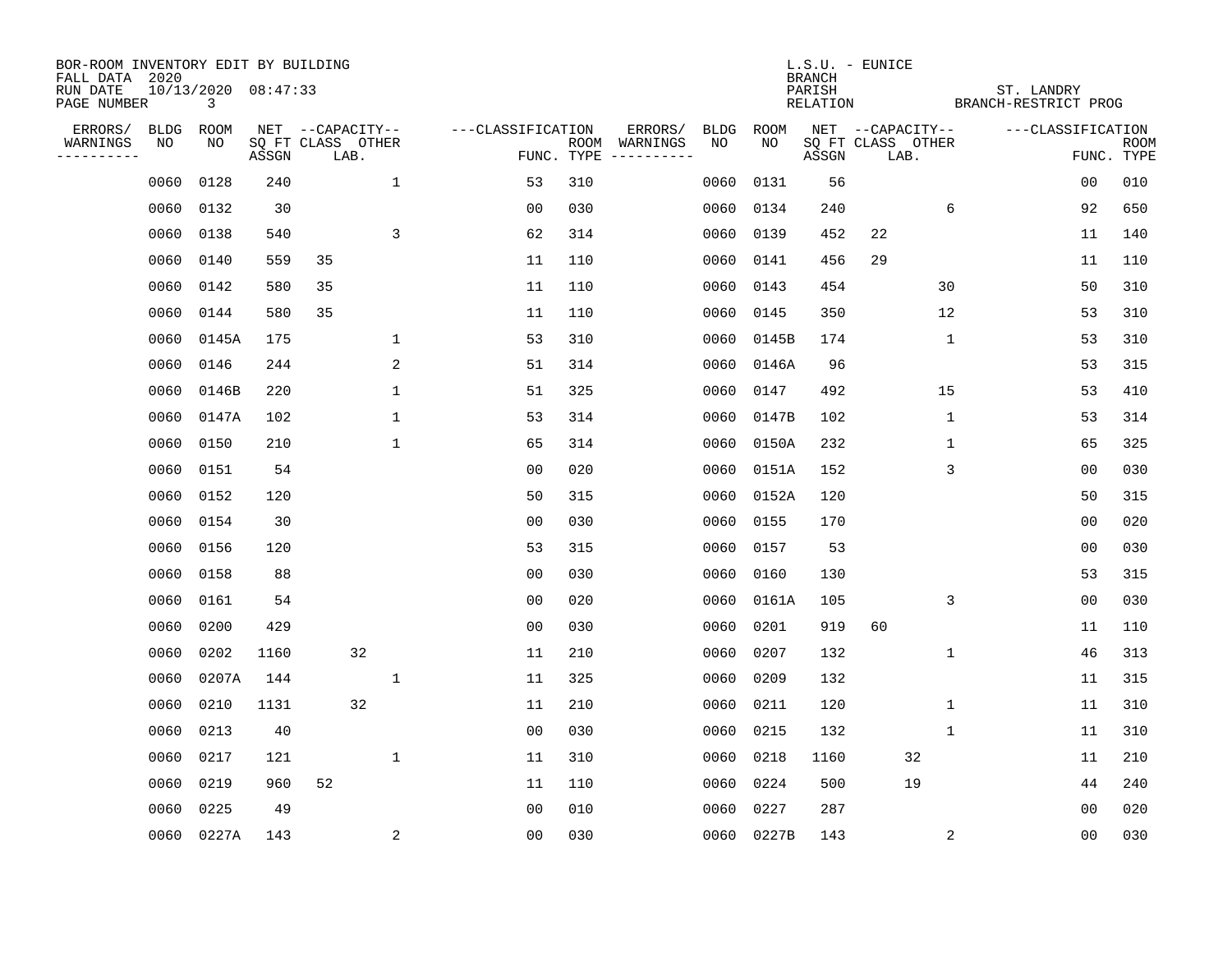| BOR-ROOM INVENTORY EDIT BY BUILDING<br>FALL DATA 2020 |      |                          |       |                           |                         |                   |            |                             |             |             | <b>BRANCH</b>      | L.S.U. - EUNICE           |              |                                    |                |                           |
|-------------------------------------------------------|------|--------------------------|-------|---------------------------|-------------------------|-------------------|------------|-----------------------------|-------------|-------------|--------------------|---------------------------|--------------|------------------------------------|----------------|---------------------------|
| RUN DATE<br>PAGE NUMBER                               |      | 10/13/2020 08:47:33<br>3 |       |                           |                         |                   |            |                             |             |             | PARISH<br>RELATION |                           |              | ST. LANDRY<br>BRANCH-RESTRICT PROG |                |                           |
| ERRORS/                                               | BLDG | ROOM                     |       | NET --CAPACITY--          |                         | ---CLASSIFICATION |            | ERRORS/                     | <b>BLDG</b> | <b>ROOM</b> |                    | NET --CAPACITY--          |              | ---CLASSIFICATION                  |                |                           |
| WARNINGS<br>----------                                | NO   | NO                       | ASSGN | SQ FT CLASS OTHER<br>LAB. |                         |                   | FUNC. TYPE | ROOM WARNINGS<br>---------- | NO          | NO          | ASSGN              | SQ FT CLASS OTHER<br>LAB. |              |                                    |                | <b>ROOM</b><br>FUNC. TYPE |
|                                                       | 0060 | 0128                     | 240   |                           | 1                       | 53                | 310        |                             | 0060        | 0131        | 56                 |                           |              |                                    | 00             | 010                       |
|                                                       | 0060 | 0132                     | 30    |                           |                         | 0 <sub>0</sub>    | 030        |                             | 0060        | 0134        | 240                |                           | 6            |                                    | 92             | 650                       |
|                                                       | 0060 | 0138                     | 540   |                           | 3                       | 62                | 314        |                             | 0060        | 0139        | 452                | 22                        |              |                                    | 11             | 140                       |
|                                                       | 0060 | 0140                     | 559   | 35                        |                         | 11                | 110        |                             | 0060        | 0141        | 456                | 29                        |              |                                    | 11             | 110                       |
|                                                       | 0060 | 0142                     | 580   | 35                        |                         | 11                | 110        |                             | 0060        | 0143        | 454                |                           | 30           |                                    | 50             | 310                       |
|                                                       | 0060 | 0144                     | 580   | 35                        |                         | 11                | 110        |                             | 0060        | 0145        | 350                |                           | 12           |                                    | 53             | 310                       |
|                                                       | 0060 | 0145A                    | 175   |                           | $\mathbf 1$             | 53                | 310        |                             | 0060        | 0145B       | 174                |                           | $\mathbf{1}$ |                                    | 53             | 310                       |
|                                                       | 0060 | 0146                     | 244   |                           | 2                       | 51                | 314        |                             | 0060        | 0146A       | 96                 |                           |              |                                    | 53             | 315                       |
|                                                       | 0060 | 0146B                    | 220   |                           | 1                       | 51                | 325        |                             | 0060        | 0147        | 492                |                           | 15           |                                    | 53             | 410                       |
|                                                       | 0060 | 0147A                    | 102   |                           | $\mathbf{1}$            | 53                | 314        |                             | 0060        | 0147B       | 102                |                           | $\mathbf{1}$ |                                    | 53             | 314                       |
|                                                       | 0060 | 0150                     | 210   |                           | $\mathbf{1}$            | 65                | 314        |                             | 0060        | 0150A       | 232                |                           | 1            |                                    | 65             | 325                       |
|                                                       | 0060 | 0151                     | 54    |                           |                         | 0 <sub>0</sub>    | 020        |                             | 0060        | 0151A       | 152                |                           | 3            |                                    | 0 <sub>0</sub> | 030                       |
|                                                       | 0060 | 0152                     | 120   |                           |                         | 50                | 315        |                             | 0060        | 0152A       | 120                |                           |              |                                    | 50             | 315                       |
|                                                       | 0060 | 0154                     | 30    |                           |                         | 0 <sub>0</sub>    | 030        |                             | 0060        | 0155        | 170                |                           |              |                                    | 0 <sub>0</sub> | 020                       |
|                                                       | 0060 | 0156                     | 120   |                           |                         | 53                | 315        |                             | 0060        | 0157        | 53                 |                           |              |                                    | 0 <sub>0</sub> | 030                       |
|                                                       | 0060 | 0158                     | 88    |                           |                         | 0 <sub>0</sub>    | 030        |                             | 0060        | 0160        | 130                |                           |              |                                    | 53             | 315                       |
|                                                       | 0060 | 0161                     | 54    |                           |                         | 0 <sub>0</sub>    | 020        |                             | 0060        | 0161A       | 105                |                           | 3            |                                    | 0 <sub>0</sub> | 030                       |
|                                                       | 0060 | 0200                     | 429   |                           |                         | 0 <sub>0</sub>    | 030        |                             | 0060        | 0201        | 919                | 60                        |              |                                    | 11             | 110                       |
|                                                       | 0060 | 0202                     | 1160  | 32                        |                         | 11                | 210        |                             | 0060        | 0207        | 132                |                           | 1            |                                    | 46             | 313                       |
|                                                       | 0060 | 0207A                    | 144   |                           | $\mathbf 1$             | 11                | 325        |                             | 0060        | 0209        | 132                |                           |              |                                    | 11             | 315                       |
|                                                       | 0060 | 0210                     | 1131  | 32                        |                         | 11                | 210        |                             | 0060        | 0211        | 120                |                           | 1            |                                    | 11             | 310                       |
|                                                       | 0060 | 0213                     | 40    |                           |                         | 0 <sub>0</sub>    | 030        |                             | 0060        | 0215        | 132                |                           | 1            |                                    | 11             | 310                       |
|                                                       | 0060 | 0217                     | 121   |                           | 1                       | 11                | 310        |                             | 0060        | 0218        | 1160               | 32                        |              |                                    | 11             | 210                       |
|                                                       | 0060 | 0219                     | 960   | 52                        |                         | 11                | 110        |                             | 0060        | 0224        | 500                | 19                        |              |                                    | 44             | 240                       |
|                                                       | 0060 | 0225                     | 49    |                           |                         | 0 <sub>0</sub>    | 010        |                             | 0060        | 0227        | 287                |                           |              |                                    | 0 <sub>0</sub> | 020                       |
|                                                       |      | 0060 0227A               | 143   |                           | $\overline{\mathbf{c}}$ | 0 <sub>0</sub>    | 030        |                             |             | 0060 0227B  | 143                |                           | 2            |                                    | 00             | 030                       |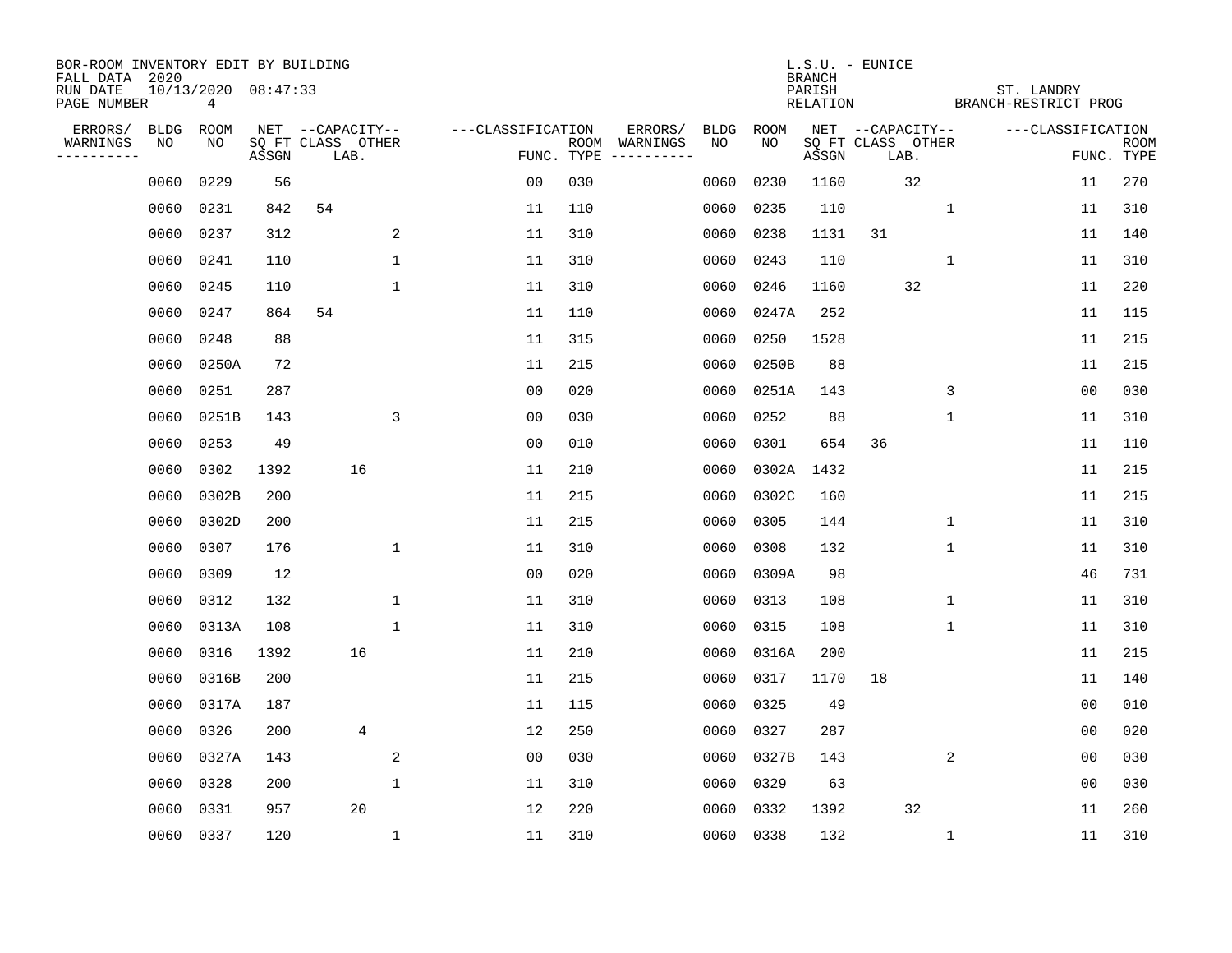| BOR-ROOM INVENTORY EDIT BY BUILDING<br>FALL DATA 2020 |             |                          |       |                           |             |                   |      |          |             |             | <b>BRANCH</b>      | L.S.U. - EUNICE           |             |                                    |                   |                           |
|-------------------------------------------------------|-------------|--------------------------|-------|---------------------------|-------------|-------------------|------|----------|-------------|-------------|--------------------|---------------------------|-------------|------------------------------------|-------------------|---------------------------|
| RUN DATE<br>PAGE NUMBER                               |             | 10/13/2020 08:47:33<br>4 |       |                           |             |                   |      |          |             |             | PARISH<br>RELATION |                           |             | ST. LANDRY<br>BRANCH-RESTRICT PROG |                   |                           |
| ERRORS/                                               | <b>BLDG</b> | <b>ROOM</b>              |       | NET --CAPACITY--          |             | ---CLASSIFICATION |      | ERRORS/  | <b>BLDG</b> | <b>ROOM</b> |                    | NET --CAPACITY--          |             |                                    | ---CLASSIFICATION |                           |
| WARNINGS<br>. <u>.</u> .                              | NO          | NO                       | ASSGN | SQ FT CLASS OTHER<br>LAB. |             | FUNC. TYPE        | ROOM | WARNINGS | NO          | NO          | ASSGN              | SQ FT CLASS OTHER<br>LAB. |             |                                    |                   | <b>ROOM</b><br>FUNC. TYPE |
|                                                       | 0060        | 0229                     | 56    |                           |             | 0 <sub>0</sub>    | 030  |          | 0060        | 0230        | 1160               |                           | 32          |                                    | 11                | 270                       |
|                                                       | 0060        | 0231                     | 842   | 54                        |             | 11                | 110  |          | 0060        | 0235        | 110                |                           | $\mathbf 1$ |                                    | 11                | 310                       |
|                                                       | 0060        | 0237                     | 312   |                           | 2           | 11                | 310  |          | 0060        | 0238        | 1131               | 31                        |             |                                    | 11                | 140                       |
|                                                       | 0060        | 0241                     | 110   |                           | 1           | 11                | 310  |          | 0060        | 0243        | 110                |                           | 1           |                                    | 11                | 310                       |
|                                                       | 0060        | 0245                     | 110   |                           | $\mathbf 1$ | 11                | 310  |          | 0060        | 0246        | 1160               |                           | 32          |                                    | 11                | 220                       |
|                                                       | 0060        | 0247                     | 864   | 54                        |             | 11                | 110  |          | 0060        | 0247A       | 252                |                           |             |                                    | 11                | 115                       |
|                                                       | 0060        | 0248                     | 88    |                           |             | 11                | 315  |          | 0060        | 0250        | 1528               |                           |             |                                    | 11                | 215                       |
|                                                       | 0060        | 0250A                    | 72    |                           |             | 11                | 215  |          | 0060        | 0250B       | 88                 |                           |             |                                    | 11                | 215                       |
|                                                       | 0060        | 0251                     | 287   |                           |             | 0 <sub>0</sub>    | 020  |          | 0060        | 0251A       | 143                |                           |             | 3                                  | 0 <sub>0</sub>    | 030                       |
|                                                       | 0060        | 0251B                    | 143   |                           | 3           | 0 <sub>0</sub>    | 030  |          | 0060        | 0252        | 88                 |                           | $\mathbf 1$ |                                    | 11                | 310                       |
|                                                       | 0060        | 0253                     | 49    |                           |             | 0 <sub>0</sub>    | 010  |          | 0060        | 0301        | 654                | 36                        |             |                                    | 11                | 110                       |
|                                                       | 0060        | 0302                     | 1392  | 16                        |             | 11                | 210  |          | 0060        | 0302A       | 1432               |                           |             |                                    | 11                | 215                       |
|                                                       | 0060        | 0302B                    | 200   |                           |             | 11                | 215  |          | 0060        | 0302C       | 160                |                           |             |                                    | 11                | 215                       |
|                                                       | 0060        | 0302D                    | 200   |                           |             | 11                | 215  |          | 0060        | 0305        | 144                |                           |             | 1                                  | 11                | 310                       |
|                                                       | 0060        | 0307                     | 176   |                           | 1           | 11                | 310  |          | 0060        | 0308        | 132                |                           | 1           |                                    | 11                | 310                       |
|                                                       | 0060        | 0309                     | 12    |                           |             | 0 <sub>0</sub>    | 020  |          | 0060        | 0309A       | 98                 |                           |             |                                    | 46                | 731                       |
|                                                       | 0060        | 0312                     | 132   |                           | 1           | 11                | 310  |          | 0060        | 0313        | 108                |                           | 1           |                                    | 11                | 310                       |
|                                                       | 0060        | 0313A                    | 108   |                           | 1           | 11                | 310  |          | 0060        | 0315        | 108                |                           | 1           |                                    | 11                | 310                       |
|                                                       | 0060        | 0316                     | 1392  | 16                        |             | 11                | 210  |          | 0060        | 0316A       | 200                |                           |             |                                    | 11                | 215                       |
|                                                       | 0060        | 0316B                    | 200   |                           |             | 11                | 215  |          | 0060        | 0317        | 1170               | 18                        |             |                                    | 11                | 140                       |
|                                                       | 0060        | 0317A                    | 187   |                           |             | 11                | 115  |          | 0060        | 0325        | 49                 |                           |             |                                    | 0 <sub>0</sub>    | 010                       |
|                                                       | 0060        | 0326                     | 200   | 4                         |             | 12                | 250  |          | 0060        | 0327        | 287                |                           |             |                                    | 00                | 020                       |
|                                                       | 0060        | 0327A                    | 143   |                           | 2           | 0 <sub>0</sub>    | 030  |          | 0060        | 0327B       | 143                |                           |             | 2                                  | 0 <sub>0</sub>    | 030                       |
|                                                       | 0060        | 0328                     | 200   |                           | 1           | 11                | 310  |          | 0060        | 0329        | 63                 |                           |             |                                    | 0 <sub>0</sub>    | 030                       |
|                                                       | 0060        | 0331                     | 957   | 20                        |             | 12                | 220  |          | 0060        | 0332        | 1392               |                           | 32          |                                    | 11                | 260                       |
|                                                       | 0060        | 0337                     | 120   |                           | 1           | 11                | 310  |          | 0060        | 0338        | 132                |                           |             | $\mathbf{1}$                       | 11                | 310                       |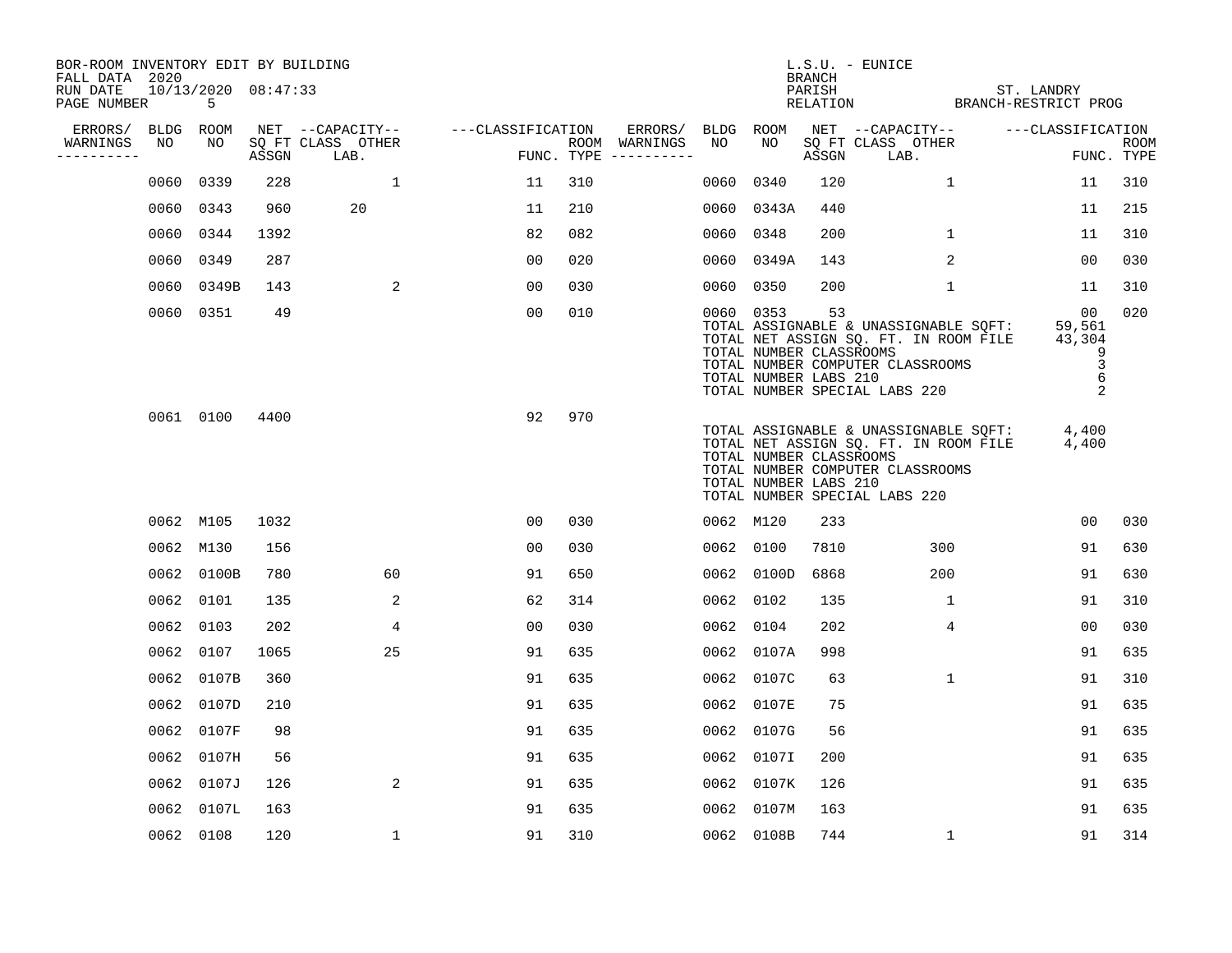| BOR-ROOM INVENTORY EDIT BY BUILDING       |           |                              |       |                           |                   |     |                                      |           |                                                               | <b>BRANCH</b> | L.S.U. - EUNICE                                                                                                                                     |                                                         |                           |
|-------------------------------------------|-----------|------------------------------|-------|---------------------------|-------------------|-----|--------------------------------------|-----------|---------------------------------------------------------------|---------------|-----------------------------------------------------------------------------------------------------------------------------------------------------|---------------------------------------------------------|---------------------------|
| FALL DATA 2020<br>RUN DATE<br>PAGE NUMBER |           | $10/13/2020$ $08:47:33$<br>5 |       |                           |                   |     |                                      |           |                                                               | PARISH        | RELATION                                                                                                                                            | ST. LANDRY<br>BRANCH-RESTRICT PROG                      |                           |
| ERRORS/                                   | BLDG ROOM |                              |       | NET --CAPACITY--          | ---CLASSIFICATION |     | ERRORS/                              | BLDG ROOM |                                                               |               | NET --CAPACITY--                                                                                                                                    | ---CLASSIFICATION                                       |                           |
| WARNINGS<br>----------                    | NO        | NO                           | ASSGN | SO FT CLASS OTHER<br>LAB. |                   |     | ROOM WARNINGS<br>FUNC. TYPE $------$ | NO        | NO                                                            | ASSGN         | SQ FT CLASS OTHER<br>LAB.                                                                                                                           |                                                         | <b>ROOM</b><br>FUNC. TYPE |
|                                           | 0060      | 0339                         | 228   | $\mathbf{1}$              | 11                | 310 |                                      | 0060      | 0340                                                          | 120           | $\mathbf{1}$                                                                                                                                        | 11                                                      | 310                       |
|                                           |           | 0060 0343                    | 960   | 20                        | 11                | 210 |                                      | 0060      | 0343A                                                         | 440           |                                                                                                                                                     | 11                                                      | 215                       |
|                                           |           | 0060 0344                    | 1392  |                           | 82                | 082 |                                      | 0060      | 0348                                                          | 200           | $\mathbf{1}$                                                                                                                                        | 11                                                      | 310                       |
|                                           | 0060      | 0349                         | 287   |                           | 0 <sub>0</sub>    | 020 |                                      |           | 0060 0349A                                                    | 143           | 2                                                                                                                                                   | 00                                                      | 030                       |
|                                           | 0060      | 0349B                        | 143   | 2                         | 0 <sub>0</sub>    | 030 |                                      | 0060      | 0350                                                          | 200           | $\mathbf 1$                                                                                                                                         | 11                                                      | 310                       |
|                                           |           | 0060 0351                    | 49    |                           | 00                | 010 |                                      |           | 0060 0353<br>TOTAL NUMBER CLASSROOMS<br>TOTAL NUMBER LABS 210 | 53            | TOTAL ASSIGNABLE & UNASSIGNABLE SQFT:<br>TOTAL NET ASSIGN SQ. FT. IN ROOM FILE<br>TOTAL NUMBER COMPUTER CLASSROOMS<br>TOTAL NUMBER SPECIAL LABS 220 | 00<br>59,561<br>43,304<br>9<br>$\overline{3}$<br>6<br>2 | 020                       |
|                                           |           | 0061 0100                    | 4400  |                           | 92                | 970 |                                      |           | TOTAL NUMBER CLASSROOMS<br>TOTAL NUMBER LABS 210              |               | TOTAL ASSIGNABLE & UNASSIGNABLE SQFT:<br>TOTAL NET ASSIGN SQ. FT. IN ROOM FILE<br>TOTAL NUMBER COMPUTER CLASSROOMS<br>TOTAL NUMBER SPECIAL LABS 220 | 4,400<br>4,400                                          |                           |
|                                           |           | 0062 M105                    | 1032  |                           | 00                | 030 |                                      |           | 0062 M120                                                     | 233           |                                                                                                                                                     | 00                                                      | 030                       |
|                                           |           | 0062 M130                    | 156   |                           | 0 <sub>0</sub>    | 030 |                                      |           | 0062 0100                                                     | 7810          | 300                                                                                                                                                 | 91                                                      | 630                       |
|                                           |           | 0062 0100B                   | 780   | 60                        | 91                | 650 |                                      | 0062      | 0100D                                                         | 6868          | 200                                                                                                                                                 | 91                                                      | 630                       |
|                                           |           | 0062 0101                    | 135   | 2                         | 62                | 314 |                                      | 0062      | 0102                                                          | 135           | $\mathbf{1}$                                                                                                                                        | 91                                                      | 310                       |
|                                           |           | 0062 0103                    | 202   | 4                         | 0 <sub>0</sub>    | 030 |                                      | 0062      | 0104                                                          | 202           | 4                                                                                                                                                   | 0 <sub>0</sub>                                          | 030                       |
|                                           |           | 0062 0107                    | 1065  | 25                        | 91                | 635 |                                      |           | 0062 0107A                                                    | 998           |                                                                                                                                                     | 91                                                      | 635                       |
|                                           |           | 0062 0107B                   | 360   |                           | 91                | 635 |                                      |           | 0062 0107C                                                    | 63            | $\mathbf{1}$                                                                                                                                        | 91                                                      | 310                       |
|                                           |           | 0062 0107D                   | 210   |                           | 91                | 635 |                                      | 0062      | 0107E                                                         | 75            |                                                                                                                                                     | 91                                                      | 635                       |
|                                           |           | 0062 0107F                   | 98    |                           | 91                | 635 |                                      | 0062      | 0107G                                                         | 56            |                                                                                                                                                     | 91                                                      | 635                       |
|                                           |           | 0062 0107H                   | 56    |                           | 91                | 635 |                                      | 0062      | 0107I                                                         | 200           |                                                                                                                                                     | 91                                                      | 635                       |
|                                           |           | 0062 0107J                   | 126   | 2                         | 91                | 635 |                                      |           | 0062 0107K                                                    | 126           |                                                                                                                                                     | 91                                                      | 635                       |
|                                           |           | 0062 0107L                   | 163   |                           | 91                | 635 |                                      |           | 0062 0107M                                                    | 163           |                                                                                                                                                     | 91                                                      | 635                       |
|                                           |           | 0062 0108                    | 120   | $\mathbf{1}$              | 91                | 310 |                                      |           | 0062 0108B                                                    | 744           | $\mathbf{1}$                                                                                                                                        | 91                                                      | 314                       |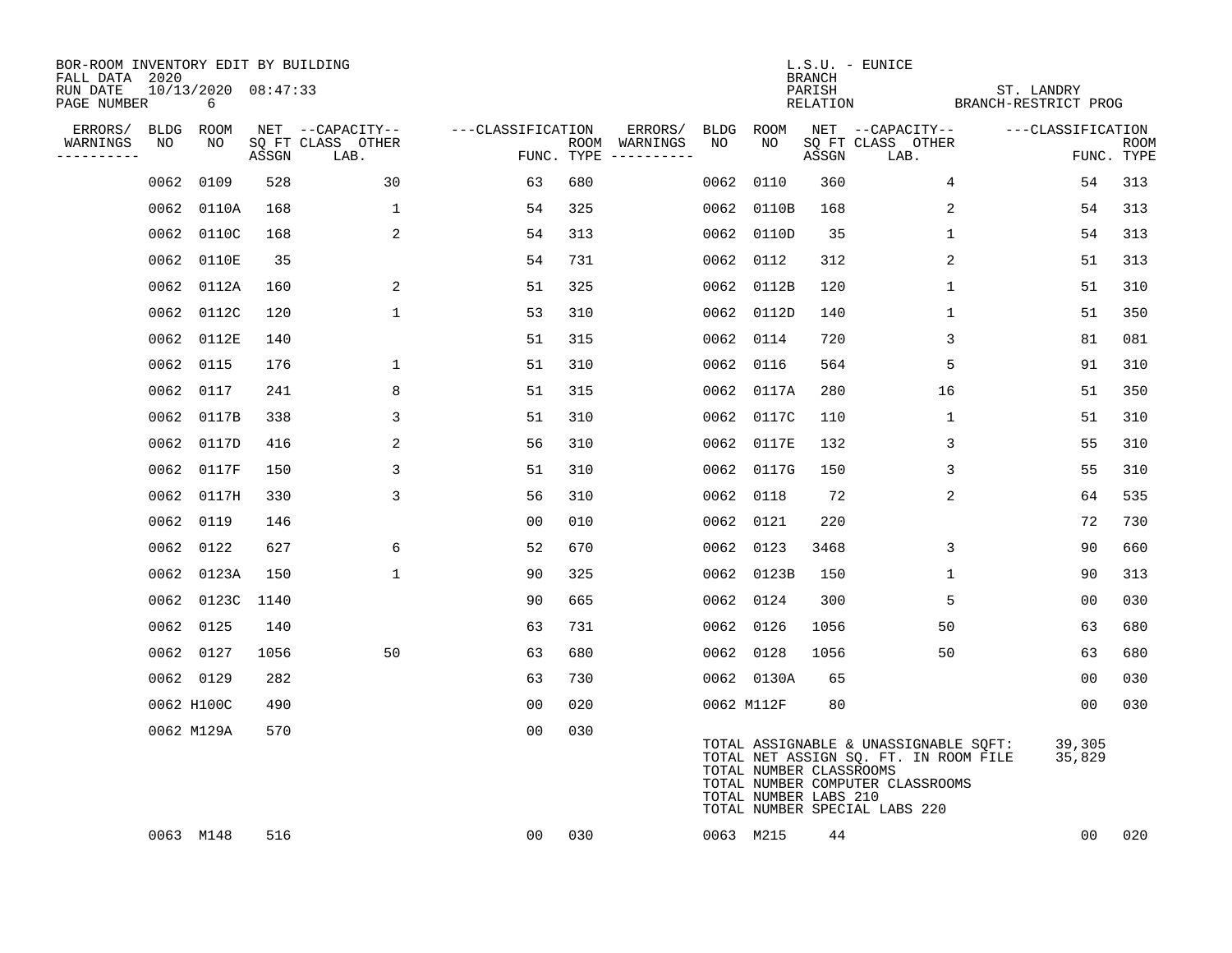| BOR-ROOM INVENTORY EDIT BY BUILDING<br>FALL DATA 2020 |      |                          |       |                           |                   |     |                                      |            |                                                  | <b>BRANCH</b>      | $L.S.U. - EUNICE$                                                                                                                                   |                                    |                  |             |
|-------------------------------------------------------|------|--------------------------|-------|---------------------------|-------------------|-----|--------------------------------------|------------|--------------------------------------------------|--------------------|-----------------------------------------------------------------------------------------------------------------------------------------------------|------------------------------------|------------------|-------------|
| RUN DATE<br>PAGE NUMBER                               |      | 10/13/2020 08:47:33<br>6 |       |                           |                   |     |                                      |            |                                                  | PARISH<br>RELATION |                                                                                                                                                     | ST. LANDRY<br>BRANCH-RESTRICT PROG |                  |             |
| ERRORS/                                               |      | BLDG ROOM                |       | NET --CAPACITY--          | ---CLASSIFICATION |     | ERRORS/                              | BLDG       | ROOM                                             |                    | NET --CAPACITY--                                                                                                                                    | ---CLASSIFICATION                  |                  |             |
| WARNINGS<br>----------                                | NO   | NO                       | ASSGN | SQ FT CLASS OTHER<br>LAB. |                   |     | ROOM WARNINGS<br>FUNC. TYPE $------$ | NO         | NO                                               | ASSGN              | SQ FT CLASS OTHER<br>LAB.                                                                                                                           |                                    | FUNC. TYPE       | <b>ROOM</b> |
|                                                       | 0062 | 0109                     | 528   | 30                        | 63                | 680 |                                      | 0062 0110  |                                                  | 360                | $\overline{4}$                                                                                                                                      |                                    | 54               | 313         |
|                                                       |      | 0062 0110A               | 168   | $\mathbf{1}$              | 54                | 325 |                                      |            | 0062 0110B                                       | 168                | 2                                                                                                                                                   |                                    | 54               | 313         |
|                                                       |      | 0062 0110C               | 168   | 2                         | 54                | 313 |                                      |            | 0062 0110D                                       | 35                 | $\mathbf{1}$                                                                                                                                        |                                    | 54               | 313         |
|                                                       |      | 0062 0110E               | 35    |                           | 54                | 731 |                                      | 0062 0112  |                                                  | 312                | 2                                                                                                                                                   |                                    | 51               | 313         |
|                                                       |      | 0062 0112A               | 160   | 2                         | 51                | 325 |                                      |            | 0062 0112B                                       | 120                | $\mathbf{1}$                                                                                                                                        |                                    | 51               | 310         |
|                                                       |      | 0062 0112C               | 120   | $\mathbf 1$               | 53                | 310 |                                      |            | 0062 0112D                                       | 140                | $\mathbf 1$                                                                                                                                         |                                    | 51               | 350         |
|                                                       |      | 0062 0112E               | 140   |                           | 51                | 315 |                                      | 0062 0114  |                                                  | 720                | 3                                                                                                                                                   |                                    | 81               | 081         |
|                                                       |      | 0062 0115                | 176   | 1                         | 51                | 310 |                                      | 0062 0116  |                                                  | 564                | 5                                                                                                                                                   |                                    | 91               | 310         |
|                                                       | 0062 | 0117                     | 241   | 8                         | 51                | 315 |                                      |            | 0062 0117A                                       | 280                | 16                                                                                                                                                  |                                    | 51               | 350         |
|                                                       |      | 0062 0117B               | 338   | 3                         | 51                | 310 |                                      |            | 0062 0117C                                       | 110                | 1                                                                                                                                                   |                                    | 51               | 310         |
|                                                       |      | 0062 0117D               | 416   | 2                         | 56                | 310 |                                      |            | 0062 0117E                                       | 132                | 3                                                                                                                                                   |                                    | 55               | 310         |
|                                                       |      | 0062 0117F               | 150   | 3                         | 51                | 310 |                                      |            | 0062 0117G                                       | 150                | 3                                                                                                                                                   |                                    | 55               | 310         |
|                                                       |      | 0062 0117H               | 330   | 3                         | 56                | 310 |                                      | 0062 0118  |                                                  | 72                 | 2                                                                                                                                                   |                                    | 64               | 535         |
|                                                       |      | 0062 0119                | 146   |                           | 0 <sub>0</sub>    | 010 |                                      | 0062 0121  |                                                  | 220                |                                                                                                                                                     |                                    | 72               | 730         |
|                                                       |      | 0062 0122                | 627   | 6                         | 52                | 670 |                                      | 0062 0123  |                                                  | 3468               | 3                                                                                                                                                   |                                    | 90               | 660         |
|                                                       |      | 0062 0123A               | 150   | $\mathbf{1}$              | 90                | 325 |                                      |            | 0062 0123B                                       | 150                | 1                                                                                                                                                   |                                    | 90               | 313         |
|                                                       |      | 0062 0123C 1140          |       |                           | 90                | 665 |                                      | 0062 0124  |                                                  | 300                | 5                                                                                                                                                   |                                    | 00               | 030         |
|                                                       |      | 0062 0125                | 140   |                           | 63                | 731 |                                      | 0062 0126  |                                                  | 1056               | 50                                                                                                                                                  |                                    | 63               | 680         |
|                                                       |      | 0062 0127                | 1056  | 50                        | 63                | 680 |                                      | 0062 0128  |                                                  | 1056               | 50                                                                                                                                                  |                                    | 63               | 680         |
|                                                       |      | 0062 0129                | 282   |                           | 63                | 730 |                                      |            | 0062 0130A                                       | 65                 |                                                                                                                                                     |                                    | 0 <sub>0</sub>   | 030         |
|                                                       |      | 0062 H100C               | 490   |                           | 00                | 020 |                                      | 0062 M112F |                                                  | 80                 |                                                                                                                                                     |                                    | 0 <sub>0</sub>   | 030         |
|                                                       |      | 0062 M129A               | 570   |                           | 0 <sub>0</sub>    | 030 |                                      |            | TOTAL NUMBER CLASSROOMS<br>TOTAL NUMBER LABS 210 |                    | TOTAL ASSIGNABLE & UNASSIGNABLE SQFT:<br>TOTAL NET ASSIGN SQ. FT. IN ROOM FILE<br>TOTAL NUMBER COMPUTER CLASSROOMS<br>TOTAL NUMBER SPECIAL LABS 220 |                                    | 39,305<br>35,829 |             |
|                                                       |      | 0063 M148                | 516   |                           | 00                | 030 |                                      | 0063 M215  |                                                  | 44                 |                                                                                                                                                     |                                    | 00               | 020         |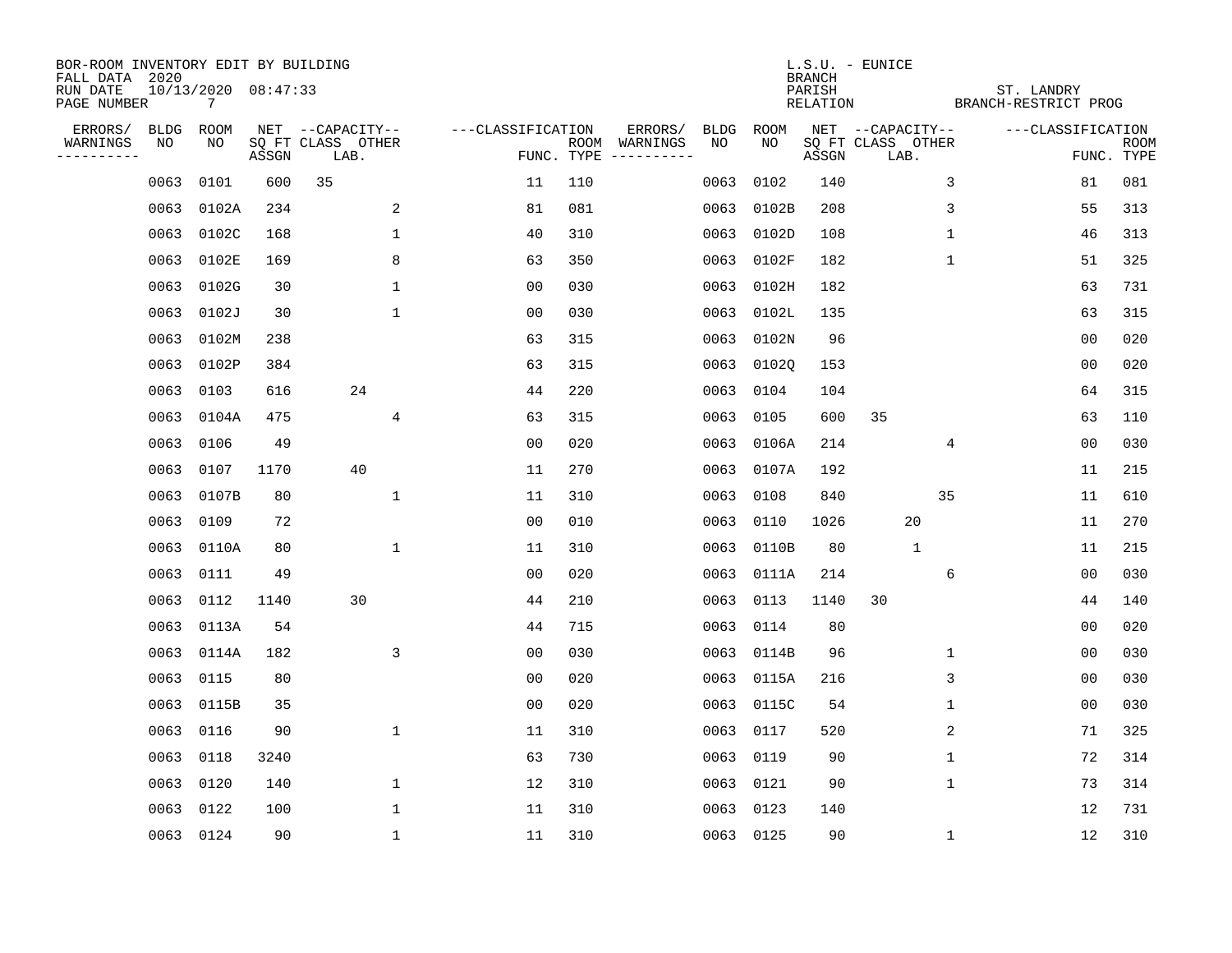| BOR-ROOM INVENTORY EDIT BY BUILDING<br>FALL DATA 2020 |           |                          |       |                           |                   |            |                              |      |            | <b>BRANCH</b>      | $L.S.U. - EUNICE$         |              |                                    |                |                           |
|-------------------------------------------------------|-----------|--------------------------|-------|---------------------------|-------------------|------------|------------------------------|------|------------|--------------------|---------------------------|--------------|------------------------------------|----------------|---------------------------|
| RUN DATE<br>PAGE NUMBER                               |           | 10/13/2020 08:47:33<br>7 |       |                           |                   |            |                              |      |            | PARISH<br>RELATION |                           |              | ST. LANDRY<br>BRANCH-RESTRICT PROG |                |                           |
| ERRORS/                                               | BLDG      | ROOM                     |       | NET --CAPACITY--          | ---CLASSIFICATION |            | ERRORS/                      | BLDG | ROOM       |                    | NET --CAPACITY--          |              | ---CLASSIFICATION                  |                |                           |
| WARNINGS<br>----------                                | NO        | NO                       | ASSGN | SQ FT CLASS OTHER<br>LAB. |                   | FUNC. TYPE | ROOM WARNINGS<br>----------- | NO   | NO         | ASSGN              | SQ FT CLASS OTHER<br>LAB. |              |                                    |                | <b>ROOM</b><br>FUNC. TYPE |
|                                                       | 0063      | 0101                     | 600   | 35                        | 11                | 110        |                              | 0063 | 0102       | 140                |                           | 3            |                                    | 81             | 081                       |
|                                                       | 0063      | 0102A                    | 234   | 2                         | 81                | 081        |                              | 0063 | 0102B      | 208                |                           | 3            |                                    | 55             | 313                       |
|                                                       | 0063      | 0102C                    | 168   | 1                         | 40                | 310        |                              | 0063 | 0102D      | 108                |                           | 1            |                                    | 46             | 313                       |
|                                                       | 0063      | 0102E                    | 169   | 8                         | 63                | 350        |                              | 0063 | 0102F      | 182                |                           | $\mathbf{1}$ |                                    | 51             | 325                       |
|                                                       | 0063      | 0102G                    | 30    | $\mathbf 1$               | 0 <sub>0</sub>    | 030        |                              | 0063 | 0102H      | 182                |                           |              |                                    | 63             | 731                       |
|                                                       | 0063      | 0102J                    | 30    | $\mathbf{1}$              | 0 <sub>0</sub>    | 030        |                              |      | 0063 0102L | 135                |                           |              |                                    | 63             | 315                       |
|                                                       | 0063      | 0102M                    | 238   |                           | 63                | 315        |                              | 0063 | 0102N      | 96                 |                           |              |                                    | 0 <sub>0</sub> | 020                       |
|                                                       |           | 0063 0102P               | 384   |                           | 63                | 315        |                              | 0063 | 01020      | 153                |                           |              |                                    | 0 <sub>0</sub> | 020                       |
|                                                       | 0063      | 0103                     | 616   | 24                        | 44                | 220        |                              | 0063 | 0104       | 104                |                           |              |                                    | 64             | 315                       |
|                                                       | 0063      | 0104A                    | 475   | $\overline{4}$            | 63                | 315        |                              | 0063 | 0105       | 600                | 35                        |              |                                    | 63             | 110                       |
|                                                       | 0063      | 0106                     | 49    |                           | 0 <sub>0</sub>    | 020        |                              | 0063 | 0106A      | 214                |                           | 4            |                                    | 0 <sub>0</sub> | 030                       |
|                                                       | 0063      | 0107                     | 1170  | 40                        | 11                | 270        |                              | 0063 | 0107A      | 192                |                           |              |                                    | 11             | 215                       |
|                                                       | 0063      | 0107B                    | 80    | 1                         | 11                | 310        |                              | 0063 | 0108       | 840                |                           | 35           |                                    | 11             | 610                       |
|                                                       | 0063      | 0109                     | 72    |                           | 0 <sub>0</sub>    | 010        |                              | 0063 | 0110       | 1026               | 20                        |              |                                    | 11             | 270                       |
|                                                       | 0063      | 0110A                    | 80    | $\mathbf{1}$              | 11                | 310        |                              | 0063 | 0110B      | 80                 | $\mathbf{1}$              |              |                                    | 11             | 215                       |
|                                                       | 0063      | 0111                     | 49    |                           | 0 <sub>0</sub>    | 020        |                              | 0063 | 0111A      | 214                |                           | 6            |                                    | 0 <sub>0</sub> | 030                       |
|                                                       | 0063      | 0112                     | 1140  | 30                        | 44                | 210        |                              | 0063 | 0113       | 1140               | 30                        |              |                                    | 44             | 140                       |
|                                                       | 0063      | 0113A                    | 54    |                           | 44                | 715        |                              | 0063 | 0114       | 80                 |                           |              |                                    | 00             | 020                       |
|                                                       | 0063      | 0114A                    | 182   | 3                         | 0 <sub>0</sub>    | 030        |                              | 0063 | 0114B      | 96                 |                           | 1            |                                    | 0 <sub>0</sub> | 030                       |
|                                                       | 0063      | 0115                     | 80    |                           | 0 <sub>0</sub>    | 020        |                              | 0063 | 0115A      | 216                |                           | 3            |                                    | 0 <sub>0</sub> | 030                       |
|                                                       |           | 0063 0115B               | 35    |                           | 0 <sub>0</sub>    | 020        |                              | 0063 | 0115C      | 54                 |                           | 1            |                                    | 0 <sub>0</sub> | 030                       |
|                                                       | 0063      | 0116                     | 90    | $\mathbf{1}$              | 11                | 310        |                              | 0063 | 0117       | 520                |                           | 2            |                                    | 71             | 325                       |
|                                                       | 0063 0118 |                          | 3240  |                           | 63                | 730        |                              | 0063 | 0119       | 90                 |                           | 1            |                                    | 72             | 314                       |
|                                                       | 0063      | 0120                     | 140   | $\mathbf 1$               | 12                | 310        |                              | 0063 | 0121       | 90                 |                           | $\mathbf 1$  |                                    | 73             | 314                       |
|                                                       | 0063      | 0122                     | 100   | $\mathbf{1}$              | 11                | 310        |                              | 0063 | 0123       | 140                |                           |              |                                    | 12             | 731                       |
|                                                       | 0063 0124 |                          | 90    | $\mathbf{1}$              | 11                | 310        |                              |      | 0063 0125  | 90                 |                           | $\mathbf 1$  |                                    | 12             | 310                       |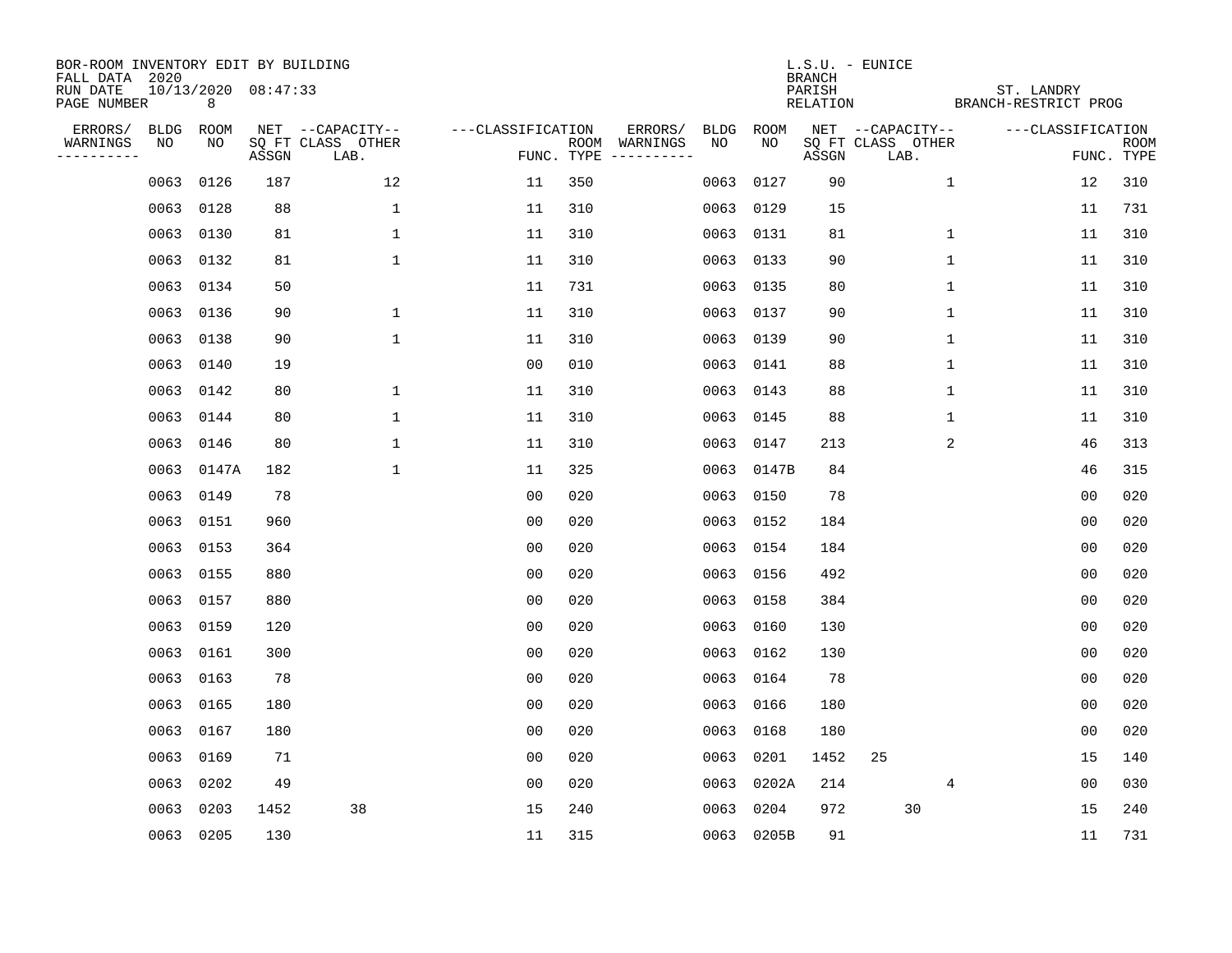| BOR-ROOM INVENTORY EDIT BY BUILDING       |             |             |                     |                           |                   |            |               |             |            | <b>BRANCH</b>      | L.S.U. - EUNICE           |                                    |                |                           |
|-------------------------------------------|-------------|-------------|---------------------|---------------------------|-------------------|------------|---------------|-------------|------------|--------------------|---------------------------|------------------------------------|----------------|---------------------------|
| FALL DATA 2020<br>RUN DATE<br>PAGE NUMBER |             | 8           | 10/13/2020 08:47:33 |                           |                   |            |               |             |            | PARISH<br>RELATION |                           | ST. LANDRY<br>BRANCH-RESTRICT PROG |                |                           |
| ERRORS/                                   | <b>BLDG</b> | <b>ROOM</b> |                     | NET --CAPACITY--          | ---CLASSIFICATION |            | ERRORS/       | <b>BLDG</b> | ROOM       |                    | NET --CAPACITY--          | ---CLASSIFICATION                  |                |                           |
| WARNINGS<br>----------                    | NO          | NO          | ASSGN               | SQ FT CLASS OTHER<br>LAB. |                   | FUNC. TYPE | ROOM WARNINGS | NO          | NO         | ASSGN              | SQ FT CLASS OTHER<br>LAB. |                                    |                | <b>ROOM</b><br>FUNC. TYPE |
|                                           | 0063        | 0126        | 187                 | 12                        | 11                | 350        |               | 0063        | 0127       | 90                 |                           | $\mathbf{1}$                       | 12             | 310                       |
|                                           | 0063        | 0128        | 88                  | $\mathbf 1$               | 11                | 310        |               | 0063        | 0129       | 15                 |                           |                                    | 11             | 731                       |
|                                           | 0063        | 0130        | 81                  | 1                         | 11                | 310        |               | 0063        | 0131       | 81                 |                           | 1                                  | 11             | 310                       |
|                                           | 0063        | 0132        | 81                  | 1                         | 11                | 310        |               | 0063        | 0133       | 90                 |                           | 1                                  | 11             | 310                       |
|                                           | 0063        | 0134        | 50                  |                           | 11                | 731        |               | 0063        | 0135       | 80                 |                           | $\mathbf 1$                        | 11             | 310                       |
|                                           | 0063        | 0136        | 90                  | 1                         | 11                | 310        |               |             | 0063 0137  | 90                 |                           | $\mathbf 1$                        | 11             | 310                       |
|                                           | 0063        | 0138        | 90                  | $\mathbf{1}$              | 11                | 310        |               | 0063        | 0139       | 90                 |                           | $\mathbf{1}$                       | 11             | 310                       |
|                                           | 0063        | 0140        | 19                  |                           | 0 <sub>0</sub>    | 010        |               |             | 0063 0141  | 88                 |                           | $\mathbf{1}$                       | 11             | 310                       |
|                                           | 0063        | 0142        | 80                  | $\mathbf{1}$              | 11                | 310        |               | 0063        | 0143       | 88                 |                           | $\mathbf{1}$                       | 11             | 310                       |
|                                           | 0063        | 0144        | 80                  | 1                         | 11                | 310        |               | 0063        | 0145       | 88                 |                           | $\mathbf 1$                        | 11             | 310                       |
|                                           | 0063        | 0146        | 80                  | 1                         | 11                | 310        |               | 0063        | 0147       | 213                |                           | 2                                  | 46             | 313                       |
|                                           | 0063        | 0147A       | 182                 | 1                         | 11                | 325        |               | 0063        | 0147B      | 84                 |                           |                                    | 46             | 315                       |
|                                           | 0063        | 0149        | 78                  |                           | 0 <sub>0</sub>    | 020        |               | 0063        | 0150       | 78                 |                           |                                    | 0 <sub>0</sub> | 020                       |
|                                           | 0063        | 0151        | 960                 |                           | 0 <sub>0</sub>    | 020        |               | 0063        | 0152       | 184                |                           |                                    | 0 <sub>0</sub> | 020                       |
|                                           | 0063        | 0153        | 364                 |                           | 0 <sub>0</sub>    | 020        |               | 0063        | 0154       | 184                |                           |                                    | 0 <sub>0</sub> | 020                       |
|                                           | 0063        | 0155        | 880                 |                           | 00                | 020        |               | 0063        | 0156       | 492                |                           |                                    | 00             | 020                       |
|                                           | 0063        | 0157        | 880                 |                           | 0 <sub>0</sub>    | 020        |               | 0063        | 0158       | 384                |                           |                                    | 0 <sub>0</sub> | 020                       |
|                                           | 0063        | 0159        | 120                 |                           | 0 <sub>0</sub>    | 020        |               | 0063        | 0160       | 130                |                           |                                    | 0 <sub>0</sub> | 020                       |
|                                           | 0063        | 0161        | 300                 |                           | 0 <sub>0</sub>    | 020        |               | 0063        | 0162       | 130                |                           |                                    | 0 <sub>0</sub> | 020                       |
|                                           | 0063        | 0163        | 78                  |                           | 0 <sub>0</sub>    | 020        |               | 0063        | 0164       | 78                 |                           |                                    | 0 <sub>0</sub> | 020                       |
|                                           | 0063        | 0165        | 180                 |                           | 0 <sub>0</sub>    | 020        |               | 0063        | 0166       | 180                |                           |                                    | 0 <sub>0</sub> | 020                       |
|                                           | 0063        | 0167        | 180                 |                           | 0 <sub>0</sub>    | 020        |               | 0063        | 0168       | 180                |                           |                                    | 0 <sub>0</sub> | 020                       |
|                                           | 0063        | 0169        | 71                  |                           | 0 <sub>0</sub>    | 020        |               | 0063        | 0201       | 1452               | 25                        |                                    | 15             | 140                       |
|                                           | 0063        | 0202        | 49                  |                           | 0 <sub>0</sub>    | 020        |               | 0063        | 0202A      | 214                |                           | 4                                  | 0 <sub>0</sub> | 030                       |
|                                           | 0063        | 0203        | 1452                | 38                        | 15                | 240        |               | 0063        | 0204       | 972                | 30                        |                                    | 15             | 240                       |
|                                           | 0063 0205   |             | 130                 |                           | 11                | 315        |               |             | 0063 0205B | 91                 |                           |                                    | 11             | 731                       |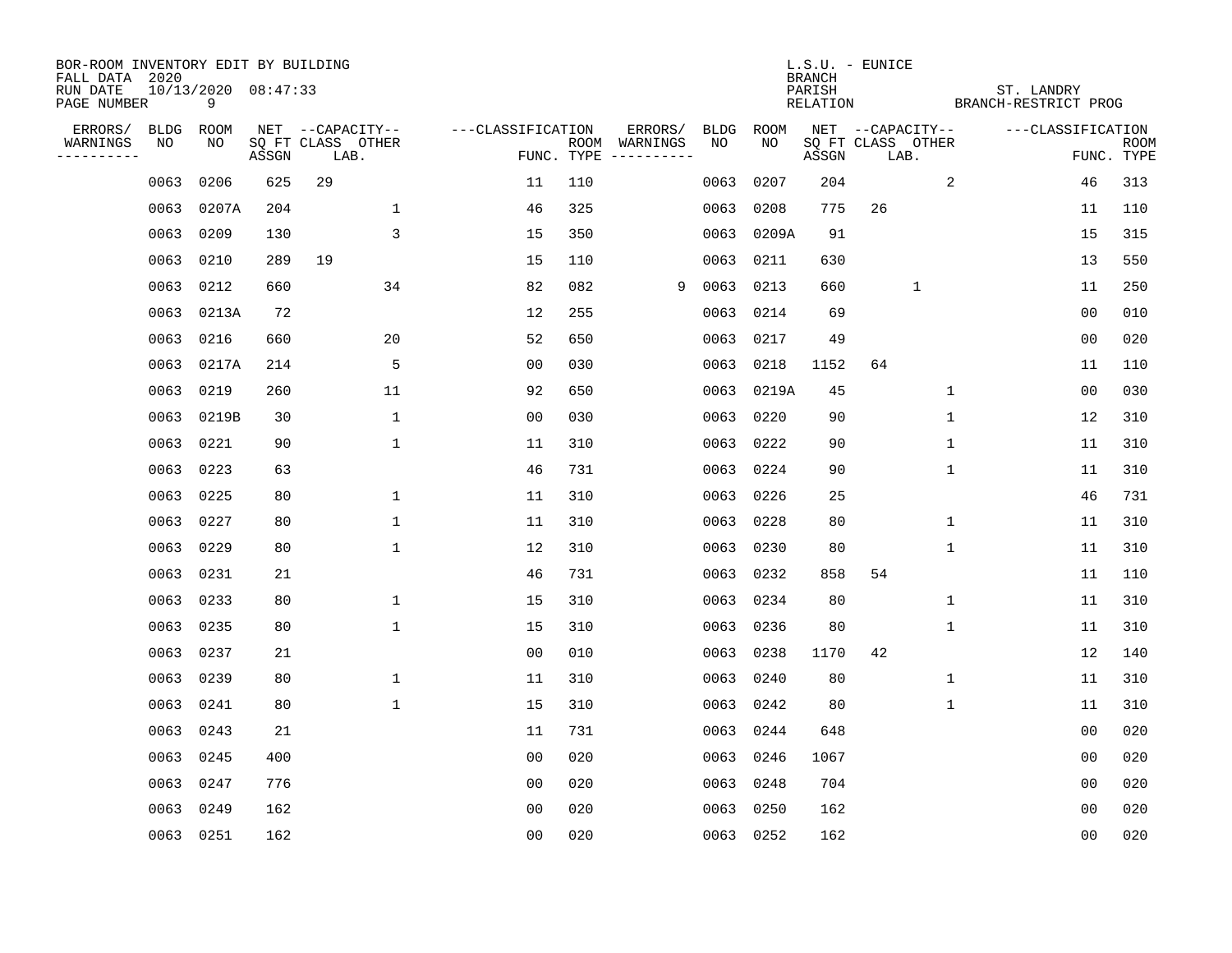| BOR-ROOM INVENTORY EDIT BY BUILDING       |      |                          |       |                           |                   |     |                                      |             |             | <b>BRANCH</b>      | L.S.U. - EUNICE           |             |              |                                    |                           |
|-------------------------------------------|------|--------------------------|-------|---------------------------|-------------------|-----|--------------------------------------|-------------|-------------|--------------------|---------------------------|-------------|--------------|------------------------------------|---------------------------|
| FALL DATA 2020<br>RUN DATE<br>PAGE NUMBER |      | 10/13/2020 08:47:33<br>9 |       |                           |                   |     |                                      |             |             | PARISH<br>RELATION |                           |             |              | ST. LANDRY<br>BRANCH-RESTRICT PROG |                           |
| ERRORS/                                   | BLDG | ROOM                     |       | NET --CAPACITY--          | ---CLASSIFICATION |     | ERRORS/                              | <b>BLDG</b> | <b>ROOM</b> |                    | NET --CAPACITY--          |             |              | ---CLASSIFICATION                  |                           |
| WARNINGS<br>----------                    | NO   | NO                       | ASSGN | SQ FT CLASS OTHER<br>LAB. |                   |     | ROOM WARNINGS<br>FUNC. TYPE $------$ | NO          | NO          | ASSGN              | SQ FT CLASS OTHER<br>LAB. |             |              |                                    | <b>ROOM</b><br>FUNC. TYPE |
|                                           | 0063 | 0206                     | 625   | 29                        | 11                | 110 |                                      | 0063        | 0207        | 204                |                           |             | 2            | 46                                 | 313                       |
|                                           | 0063 | 0207A                    | 204   | $\mathbf{1}$              | 46                | 325 |                                      | 0063        | 0208        | 775                | 26                        |             |              | 11                                 | 110                       |
|                                           | 0063 | 0209                     | 130   | 3                         | 15                | 350 |                                      | 0063        | 0209A       | 91                 |                           |             |              | 15                                 | 315                       |
|                                           | 0063 | 0210                     | 289   | 19                        | 15                | 110 |                                      | 0063        | 0211        | 630                |                           |             |              | 13                                 | 550                       |
|                                           | 0063 | 0212                     | 660   | 34                        | 82                | 082 | 9                                    | 0063        | 0213        | 660                |                           | $\mathbf 1$ |              | 11                                 | 250                       |
|                                           |      | 0063 0213A               | 72    |                           | 12                | 255 |                                      | 0063        | 0214        | 69                 |                           |             |              | 0 <sub>0</sub>                     | 010                       |
|                                           | 0063 | 0216                     | 660   | 20                        | 52                | 650 |                                      | 0063        | 0217        | 49                 |                           |             |              | 00                                 | 020                       |
|                                           | 0063 | 0217A                    | 214   | 5                         | 0 <sub>0</sub>    | 030 |                                      | 0063        | 0218        | 1152               | 64                        |             |              | 11                                 | 110                       |
|                                           | 0063 | 0219                     | 260   | 11                        | 92                | 650 |                                      | 0063        | 0219A       | 45                 |                           |             | $\mathbf{1}$ | 0 <sub>0</sub>                     | 030                       |
|                                           |      | 0063 0219B               | 30    | $\mathbf 1$               | 0 <sub>0</sub>    | 030 |                                      | 0063        | 0220        | 90                 |                           |             | $\mathbf 1$  | 12                                 | 310                       |
|                                           |      | 0063 0221                | 90    | $\mathbf 1$               | 11                | 310 |                                      | 0063        | 0222        | 90                 |                           |             | $\mathbf 1$  | 11                                 | 310                       |
|                                           |      | 0063 0223                | 63    |                           | 46                | 731 |                                      | 0063        | 0224        | 90                 |                           |             | 1            | 11                                 | 310                       |
|                                           | 0063 | 0225                     | 80    | 1                         | 11                | 310 |                                      | 0063        | 0226        | 25                 |                           |             |              | 46                                 | 731                       |
|                                           | 0063 | 0227                     | 80    | $\mathbf 1$               | 11                | 310 |                                      | 0063        | 0228        | 80                 |                           |             | $\mathbf 1$  | 11                                 | 310                       |
|                                           | 0063 | 0229                     | 80    | $\mathbf{1}$              | 12                | 310 |                                      | 0063        | 0230        | 80                 |                           |             | 1            | 11                                 | 310                       |
|                                           |      | 0063 0231                | 21    |                           | 46                | 731 |                                      | 0063        | 0232        | 858                | 54                        |             |              | 11                                 | 110                       |
|                                           | 0063 | 0233                     | 80    | 1                         | 15                | 310 |                                      | 0063        | 0234        | 80                 |                           |             | 1            | 11                                 | 310                       |
|                                           | 0063 | 0235                     | 80    | $\mathbf{1}$              | 15                | 310 |                                      | 0063        | 0236        | 80                 |                           |             | 1            | 11                                 | 310                       |
|                                           | 0063 | 0237                     | 21    |                           | 0 <sub>0</sub>    | 010 |                                      | 0063        | 0238        | 1170               | 42                        |             |              | 12                                 | 140                       |
|                                           | 0063 | 0239                     | 80    | $\mathbf 1$               | 11                | 310 |                                      | 0063        | 0240        | 80                 |                           |             | 1            | 11                                 | 310                       |
|                                           | 0063 | 0241                     | 80    | $\mathbf{1}$              | 15                | 310 |                                      | 0063        | 0242        | 80                 |                           |             | 1            | 11                                 | 310                       |
|                                           | 0063 | 0243                     | 21    |                           | 11                | 731 |                                      | 0063        | 0244        | 648                |                           |             |              | 00                                 | 020                       |
|                                           | 0063 | 0245                     | 400   |                           | 0 <sub>0</sub>    | 020 |                                      | 0063        | 0246        | 1067               |                           |             |              | 0 <sub>0</sub>                     | 020                       |
|                                           | 0063 | 0247                     | 776   |                           | 0 <sub>0</sub>    | 020 |                                      | 0063        | 0248        | 704                |                           |             |              | 0 <sub>0</sub>                     | 020                       |
|                                           | 0063 | 0249                     | 162   |                           | 0 <sub>0</sub>    | 020 |                                      | 0063        | 0250        | 162                |                           |             |              | 0 <sub>0</sub>                     | 020                       |
|                                           |      | 0063 0251                | 162   |                           | 0 <sub>0</sub>    | 020 |                                      |             | 0063 0252   | 162                |                           |             |              | 0 <sub>0</sub>                     | 020                       |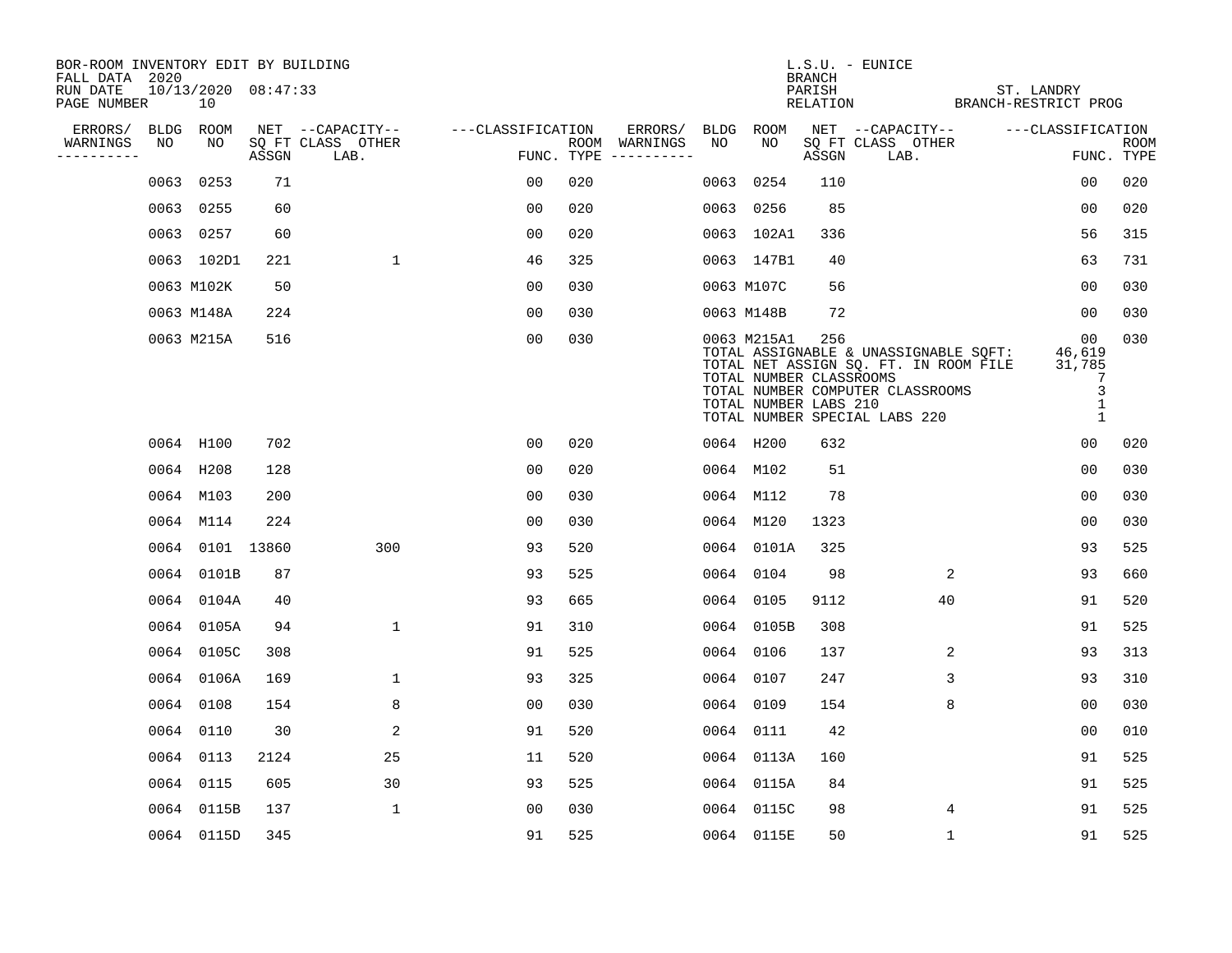| BOR-ROOM INVENTORY EDIT BY BUILDING<br>FALL DATA 2020 |             |                               |       |                           |                   |     |                                      |             |                                                                 | <b>BRANCH</b>      | $L.S.U.$ - EUNICE                                                                                                                                   |                                            |                    |
|-------------------------------------------------------|-------------|-------------------------------|-------|---------------------------|-------------------|-----|--------------------------------------|-------------|-----------------------------------------------------------------|--------------------|-----------------------------------------------------------------------------------------------------------------------------------------------------|--------------------------------------------|--------------------|
| RUN DATE<br>PAGE NUMBER                               |             | $10/13/2020$ $08:47:33$<br>10 |       |                           |                   |     |                                      |             |                                                                 | PARISH<br>RELATION |                                                                                                                                                     | ST. LANDRY<br>BRANCH-RESTRICT PROG         |                    |
| ERRORS/                                               | <b>BLDG</b> | ROOM                          |       | NET --CAPACITY--          | ---CLASSIFICATION |     | ERRORS/                              | <b>BLDG</b> | ROOM                                                            |                    | NET --CAPACITY--                                                                                                                                    | ---CLASSIFICATION                          |                    |
| WARNINGS<br>----------                                | NO          | NO                            | ASSGN | SQ FT CLASS OTHER<br>LAB. |                   |     | ROOM WARNINGS<br>FUNC. TYPE $------$ | NO          | NO                                                              | ASSGN              | SQ FT CLASS OTHER<br>LAB.                                                                                                                           |                                            | ROOM<br>FUNC. TYPE |
|                                                       | 0063        | 0253                          | 71    |                           | 00                | 020 |                                      | 0063        | 0254                                                            | 110                |                                                                                                                                                     | 00                                         | 020                |
|                                                       |             | 0063 0255                     | 60    |                           | 00                | 020 |                                      |             | 0063 0256                                                       | 85                 |                                                                                                                                                     | 0 <sub>0</sub>                             | 020                |
|                                                       |             | 0063 0257                     | 60    |                           | 00                | 020 |                                      |             | 0063 102A1                                                      | 336                |                                                                                                                                                     | 56                                         | 315                |
|                                                       |             | 0063 102D1                    | 221   | $\mathbf{1}$              | 46                | 325 |                                      |             | 0063 147B1                                                      | 40                 |                                                                                                                                                     | 63                                         | 731                |
|                                                       |             | 0063 M102K                    | 50    |                           | 0 <sub>0</sub>    | 030 |                                      |             | 0063 M107C                                                      | 56                 |                                                                                                                                                     | 0 <sub>0</sub>                             | 030                |
|                                                       |             | 0063 M148A                    | 224   |                           | 0 <sub>0</sub>    | 030 |                                      |             | 0063 M148B                                                      | 72                 |                                                                                                                                                     | 0 <sub>0</sub>                             | 030                |
|                                                       |             | 0063 M215A                    | 516   |                           | 0 <sub>0</sub>    | 030 |                                      |             | 0063 M215A1<br>TOTAL NUMBER CLASSROOMS<br>TOTAL NUMBER LABS 210 | 256                | TOTAL ASSIGNABLE & UNASSIGNABLE SQFT:<br>TOTAL NET ASSIGN SQ. FT. IN ROOM FILE<br>TOTAL NUMBER COMPUTER CLASSROOMS<br>TOTAL NUMBER SPECIAL LABS 220 | 00<br>46,619<br>31,785<br>7<br>3<br>1<br>1 | 030                |
|                                                       |             | 0064 H100                     | 702   |                           | 0 <sub>0</sub>    | 020 |                                      |             | 0064 H200                                                       | 632                |                                                                                                                                                     | 0 <sub>0</sub>                             | 020                |
|                                                       |             | 0064 H208                     | 128   |                           | 0 <sub>0</sub>    | 020 |                                      |             | 0064 M102                                                       | 51                 |                                                                                                                                                     | 0 <sub>0</sub>                             | 030                |
|                                                       |             | 0064 M103                     | 200   |                           | 00                | 030 |                                      |             | 0064 M112                                                       | 78                 |                                                                                                                                                     | 0 <sub>0</sub>                             | 030                |
|                                                       |             | 0064 M114                     | 224   |                           | 0 <sub>0</sub>    | 030 |                                      |             | 0064 M120                                                       | 1323               |                                                                                                                                                     | 0 <sub>0</sub>                             | 030                |
|                                                       |             | 0064 0101 13860               |       | 300                       | 93                | 520 |                                      |             | 0064 0101A                                                      | 325                |                                                                                                                                                     | 93                                         | 525                |
|                                                       |             | 0064 0101B                    | 87    |                           | 93                | 525 |                                      |             | 0064 0104                                                       | 98                 | 2                                                                                                                                                   | 93                                         | 660                |
|                                                       |             | 0064 0104A                    | 40    |                           | 93                | 665 |                                      |             | 0064 0105                                                       | 9112               | 40                                                                                                                                                  | 91                                         | 520                |
|                                                       |             | 0064 0105A                    | 94    | $\mathbf 1$               | 91                | 310 |                                      |             | 0064 0105B                                                      | 308                |                                                                                                                                                     | 91                                         | 525                |
|                                                       |             | 0064 0105C                    | 308   |                           | 91                | 525 |                                      |             | 0064 0106                                                       | 137                | 2                                                                                                                                                   | 93                                         | 313                |
|                                                       |             | 0064 0106A                    | 169   | $\mathbf{1}$              | 93                | 325 |                                      |             | 0064 0107                                                       | 247                | 3                                                                                                                                                   | 93                                         | 310                |
|                                                       |             | 0064 0108                     | 154   | 8                         | 0 <sub>0</sub>    | 030 |                                      |             | 0064 0109                                                       | 154                | 8                                                                                                                                                   | 0 <sub>0</sub>                             | 030                |
|                                                       |             | 0064 0110                     | 30    | 2                         | 91                | 520 |                                      |             | 0064 0111                                                       | 42                 |                                                                                                                                                     | 00                                         | 010                |
|                                                       |             | 0064 0113                     | 2124  | 25                        | 11                | 520 |                                      |             | 0064 0113A                                                      | 160                |                                                                                                                                                     | 91                                         | 525                |
|                                                       |             | 0064 0115                     | 605   | 30                        | 93                | 525 |                                      |             | 0064 0115A                                                      | 84                 |                                                                                                                                                     | 91                                         | 525                |
|                                                       |             | 0064 0115B                    | 137   | $\mathbf{1}$              | 00                | 030 |                                      |             | 0064 0115C                                                      | 98                 | 4                                                                                                                                                   | 91                                         | 525                |
|                                                       |             | 0064 0115D                    | 345   |                           | 91                | 525 |                                      |             | 0064 0115E                                                      | 50                 | $\mathbf 1$                                                                                                                                         | 91                                         | 525                |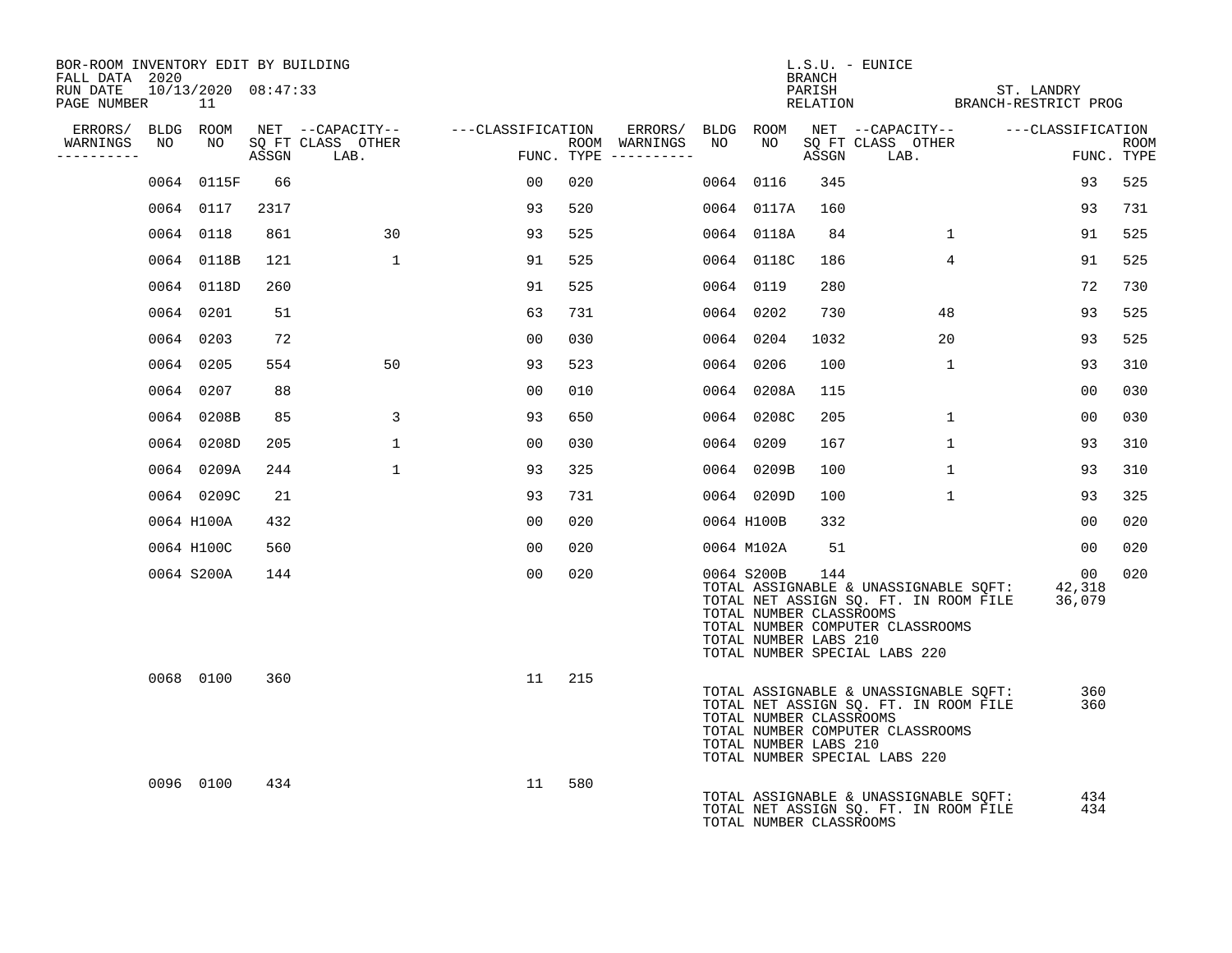| BOR-ROOM INVENTORY EDIT BY BUILDING<br>FALL DATA 2020 |     |                                        |      |                                   |                                                                                      |                                         |                                                                | BRANCH | L.S.U. - EUNICE                                                                                                                                     |                                                       |                 |             |
|-------------------------------------------------------|-----|----------------------------------------|------|-----------------------------------|--------------------------------------------------------------------------------------|-----------------------------------------|----------------------------------------------------------------|--------|-----------------------------------------------------------------------------------------------------------------------------------------------------|-------------------------------------------------------|-----------------|-------------|
| RUN DATE<br>PAGE NUMBER                               |     | 10/13/2020 08:47:33<br>$\overline{11}$ |      |                                   |                                                                                      |                                         |                                                                |        |                                                                                                                                                     | PARISH ST. LANDRY<br>RELATION BRANCH-RESTRICT PROG    |                 |             |
|                                                       |     |                                        |      |                                   | ERRORS/ BLDG ROOM NET --CAPACITY-- ----CLASSIFICATION                                |                                         |                                                                |        |                                                                                                                                                     | ERRORS/ BLDG ROOM NET --CAPACITY-- ----CLASSIFICATION |                 |             |
| WARNINGS<br>----------                                | NO. |                                        |      | NO SOFT CLASS OTHER<br>ASSGN LAB. | $\begin{array}{c} \begin{array}{c} \text{1.5} \\ \text{2.5} \end{array} \end{array}$ | ROOM WARNINGS NO<br>FUNC. TYPE $------$ | NO                                                             |        | SO FT CLASS OTHER<br>ASSGN LAB.                                                                                                                     |                                                       | FUNC. TYPE      | <b>ROOM</b> |
|                                                       |     | 0064 0115F                             | 66   |                                   | 00                                                                                   | 020                                     | 0064 0116                                                      | 345    |                                                                                                                                                     |                                                       | 93              | 525         |
|                                                       |     | 0064 0117                              | 2317 |                                   | 93                                                                                   | 520                                     | 0064 0117A                                                     | 160    |                                                                                                                                                     |                                                       | 93              | 731         |
|                                                       |     | 0064 0118                              | 861  | 30                                | 93                                                                                   | 525                                     | 0064 0118A                                                     | 84     | $\mathbf{1}$                                                                                                                                        |                                                       | 91              | 525         |
|                                                       |     | 0064 0118B                             | 121  | $\mathbf{1}$                      | 91                                                                                   | 525                                     | 0064 0118C                                                     | 186    | $4\overline{ }$                                                                                                                                     |                                                       | 91              | 525         |
|                                                       |     | 0064 0118D                             | 260  |                                   | 91                                                                                   | 525                                     | 0064 0119                                                      | 280    |                                                                                                                                                     |                                                       | 72              | 730         |
|                                                       |     | 0064 0201                              | 51   |                                   | 63                                                                                   | 731                                     | 0064 0202                                                      | 730    | 48                                                                                                                                                  |                                                       | 93              | 525         |
|                                                       |     | 0064 0203                              | 72   |                                   | 0 <sub>0</sub>                                                                       | 030                                     | 0064 0204                                                      | 1032   | 20                                                                                                                                                  |                                                       | 93              | 525         |
|                                                       |     | 0064 0205                              | 554  | 50                                | 93                                                                                   | 523                                     | 0064 0206                                                      | 100    | 1                                                                                                                                                   |                                                       | 93              | 310         |
|                                                       |     | 0064 0207                              | 88   |                                   | 00                                                                                   | 010                                     | 0064 0208A                                                     | 115    |                                                                                                                                                     |                                                       | 00              | 030         |
|                                                       |     | 0064 0208B                             | 85   | 3                                 | 93                                                                                   | 650                                     | 0064 0208C                                                     | 205    | $\mathbf{1}$                                                                                                                                        |                                                       | 00              | 030         |
|                                                       |     | 0064 0208D                             | 205  | $\mathbf{1}$                      | 00                                                                                   | 030                                     | 0064 0209                                                      | 167    | $\mathbf{1}$                                                                                                                                        |                                                       | 93              | 310         |
|                                                       |     | 0064 0209A                             | 244  | $\mathbf{1}$                      | 93                                                                                   | 325                                     | 0064 0209B                                                     | 100    | $\mathbf{1}$                                                                                                                                        |                                                       | 93              | 310         |
|                                                       |     | 0064 0209C                             | 21   |                                   | 93                                                                                   | 731                                     | 0064 0209D                                                     | 100    | $\mathbf{1}$                                                                                                                                        |                                                       | 93              | 325         |
|                                                       |     | 0064 H100A                             | 432  |                                   | 00                                                                                   | 020                                     | 0064 H100B                                                     | 332    |                                                                                                                                                     |                                                       | 00 <sub>o</sub> | 020         |
|                                                       |     | 0064 H100C                             | 560  |                                   | 00                                                                                   | 020                                     | 0064 M102A                                                     | 51     |                                                                                                                                                     |                                                       | 00              | 020         |
|                                                       |     | 0064 S200A                             | 144  |                                   | 0 <sub>0</sub>                                                                       | 020                                     | 0064 S200B<br>TOTAL NUMBER CLASSROOMS<br>TOTAL NUMBER LABS 210 | 144    | TOTAL ASSIGNABLE & UNASSIGNABLE SQFT:<br>TOTAL NET ASSIGN SQ. FT. IN ROOM FILE<br>TOTAL NUMBER COMPUTER CLASSROOMS<br>TOTAL NUMBER SPECIAL LABS 220 | 42,318<br>36,079                                      | 00              | 020         |
|                                                       |     | 0068 0100                              | 360  |                                   | 11                                                                                   | 215                                     | TOTAL NUMBER CLASSROOMS<br>TOTAL NUMBER LABS 210               |        | TOTAL ASSIGNABLE & UNASSIGNABLE SQFT:<br>TOTAL NET ASSIGN SQ. FT. IN ROOM FILE<br>TOTAL NUMBER COMPUTER CLASSROOMS<br>TOTAL NUMBER SPECIAL LABS 220 |                                                       | 360<br>360      |             |
|                                                       |     | 0096 0100                              | 434  |                                   | 11                                                                                   | 580                                     | TOTAL NUMBER CLASSROOMS                                        |        | TOTAL ASSIGNABLE & UNASSIGNABLE SQFT:<br>TOTAL NET ASSIGN SQ. FT. IN ROOM FILE                                                                      |                                                       | 434<br>434      |             |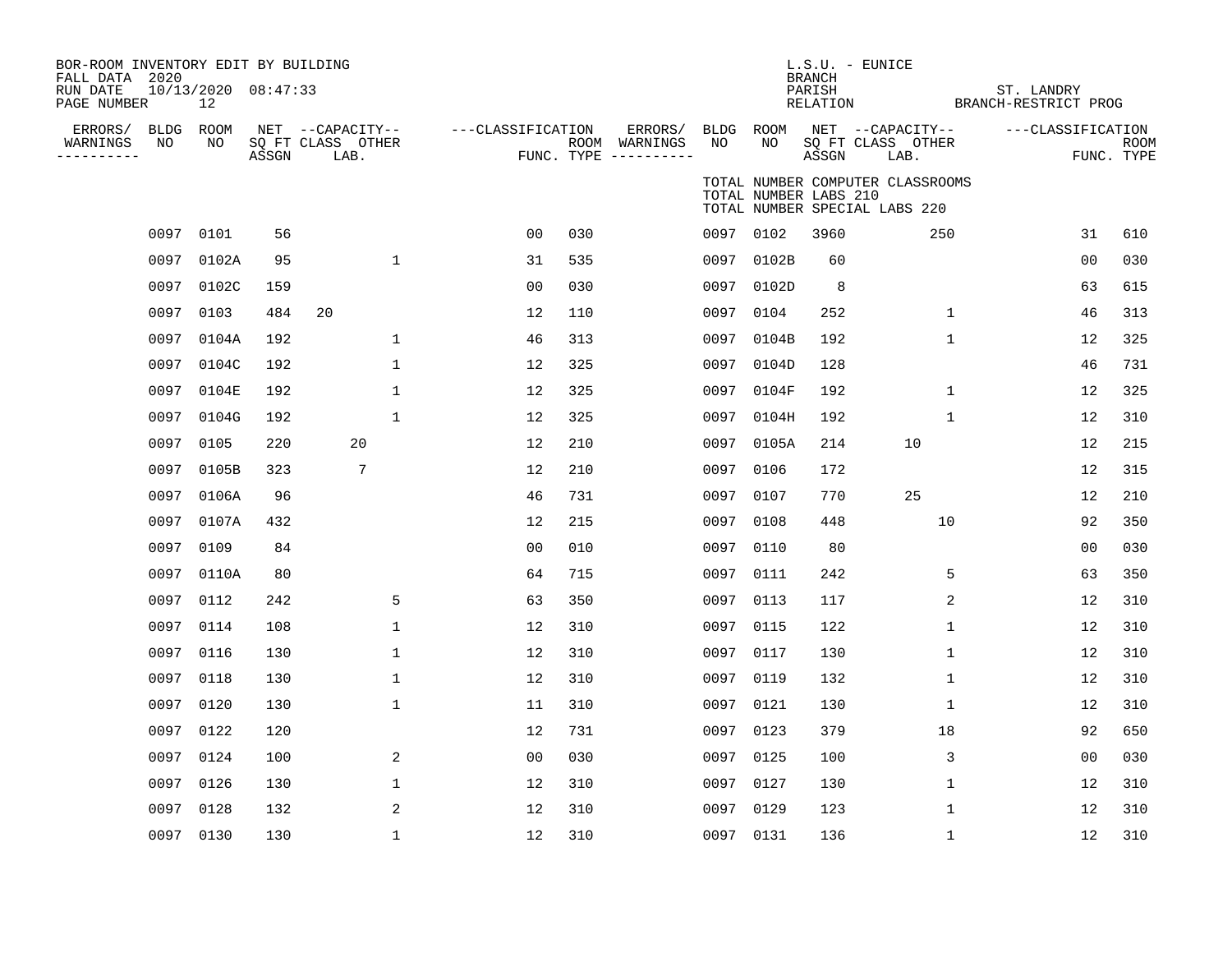| BOR-ROOM INVENTORY EDIT BY BUILDING<br>FALL DATA 2020<br>RUN DATE<br>PAGE NUMBER |           | 10/13/2020 08:47:33<br>12 |       |                                               |                   |     |                                                 |                 |                       | <b>BRANCH</b><br>PARISH<br>RELATION | L.S.U. - EUNICE                                                   | ST. LANDRY<br>BRANCH-RESTRICT PROG |                |             |
|----------------------------------------------------------------------------------|-----------|---------------------------|-------|-----------------------------------------------|-------------------|-----|-------------------------------------------------|-----------------|-----------------------|-------------------------------------|-------------------------------------------------------------------|------------------------------------|----------------|-------------|
| ERRORS/ BLDG ROOM<br>WARNINGS<br>---------                                       | NO        | NO                        | ASSGN | NET --CAPACITY--<br>SQ FT CLASS OTHER<br>LAB. | ---CLASSIFICATION |     | ERRORS/<br>ROOM WARNINGS<br>FUNC. TYPE $------$ | BLDG ROOM<br>NO | NO                    | ASSGN                               | NET --CAPACITY--<br>SQ FT CLASS OTHER<br>LAB.                     | ---CLASSIFICATION                  | FUNC. TYPE     | <b>ROOM</b> |
|                                                                                  |           |                           |       |                                               |                   |     |                                                 |                 | TOTAL NUMBER LABS 210 |                                     | TOTAL NUMBER COMPUTER CLASSROOMS<br>TOTAL NUMBER SPECIAL LABS 220 |                                    |                |             |
|                                                                                  | 0097      | 0101                      | 56    |                                               | 0 <sub>0</sub>    | 030 |                                                 |                 | 0097 0102             | 3960                                | 250                                                               |                                    | 31             | 610         |
|                                                                                  |           | 0097 0102A                | 95    | $\mathbf{1}$                                  | 31                | 535 |                                                 | 0097            | 0102B                 | 60                                  |                                                                   |                                    | 0 <sub>0</sub> | 030         |
|                                                                                  | 0097      | 0102C                     | 159   |                                               | 0 <sub>0</sub>    | 030 |                                                 | 0097            | 0102D                 | 8                                   |                                                                   |                                    | 63             | 615         |
|                                                                                  | 0097      | 0103                      | 484   | 20                                            | 12                | 110 |                                                 | 0097            | 0104                  | 252                                 | $\mathbf 1$                                                       |                                    | 46             | 313         |
|                                                                                  | 0097      | 0104A                     | 192   | $\mathbf 1$                                   | 46                | 313 |                                                 | 0097            | 0104B                 | 192                                 | $\mathbf 1$                                                       |                                    | 12             | 325         |
|                                                                                  | 0097      | 0104C                     | 192   | $\mathbf 1$                                   | 12                | 325 |                                                 | 0097            | 0104D                 | 128                                 |                                                                   |                                    | 46             | 731         |
|                                                                                  | 0097      | 0104E                     | 192   | $\mathbf 1$                                   | 12                | 325 |                                                 | 0097            | 0104F                 | 192                                 | $\mathbf 1$                                                       |                                    | 12             | 325         |
|                                                                                  | 0097      | 0104G                     | 192   | $\mathbf{1}$                                  | 12                | 325 |                                                 | 0097            | 0104H                 | 192                                 | $\mathbf 1$                                                       |                                    | 12             | 310         |
|                                                                                  | 0097      | 0105                      | 220   | 20                                            | 12                | 210 |                                                 | 0097            | 0105A                 | 214                                 | 10                                                                |                                    | 12             | 215         |
|                                                                                  | 0097      | 0105B                     | 323   | 7                                             | 12                | 210 |                                                 | 0097            | 0106                  | 172                                 |                                                                   |                                    | 12             | 315         |
|                                                                                  | 0097      | 0106A                     | 96    |                                               | 46                | 731 |                                                 | 0097            | 0107                  | 770                                 | 25                                                                |                                    | 12             | 210         |
|                                                                                  | 0097      | 0107A                     | 432   |                                               | 12                | 215 |                                                 | 0097            | 0108                  | 448                                 | 10                                                                |                                    | 92             | 350         |
|                                                                                  | 0097      | 0109                      | 84    |                                               | 0 <sub>0</sub>    | 010 |                                                 |                 | 0097 0110             | 80                                  |                                                                   |                                    | 00             | 030         |
|                                                                                  | 0097      | 0110A                     | 80    |                                               | 64                | 715 |                                                 | 0097            | 0111                  | 242                                 | 5                                                                 |                                    | 63             | 350         |
|                                                                                  | 0097      | 0112                      | 242   | 5                                             | 63                | 350 |                                                 | 0097 0113       |                       | 117                                 | 2                                                                 |                                    | 12             | 310         |
|                                                                                  | 0097      | 0114                      | 108   | $\mathbf{1}$                                  | 12                | 310 |                                                 | 0097            | 0115                  | 122                                 | $\mathbf{1}$                                                      |                                    | 12             | 310         |
|                                                                                  | 0097      | 0116                      | 130   | $\mathbf{1}$                                  | 12                | 310 |                                                 | 0097 0117       |                       | 130                                 | $\mathbf{1}$                                                      |                                    | 12             | 310         |
|                                                                                  | 0097      | 0118                      | 130   | $\mathbf 1$                                   | 12                | 310 |                                                 | 0097            | 0119                  | 132                                 | $\mathbf 1$                                                       |                                    | 12             | 310         |
|                                                                                  | 0097      | 0120                      | 130   | $\mathbf{1}$                                  | 11                | 310 |                                                 | 0097 0121       |                       | 130                                 | $\mathbf 1$                                                       |                                    | 12             | 310         |
|                                                                                  | 0097      | 0122                      | 120   |                                               | 12                | 731 |                                                 | 0097            | 0123                  | 379                                 | 18                                                                |                                    | 92             | 650         |
|                                                                                  | 0097 0124 |                           | 100   | 2                                             | 0 <sub>0</sub>    | 030 |                                                 |                 | 0097 0125             | 100                                 | 3                                                                 |                                    | 00             | 030         |
|                                                                                  | 0097      | 0126                      | 130   | $\mathbf 1$                                   | 12                | 310 |                                                 | 0097            | 0127                  | 130                                 | $\mathbf 1$                                                       |                                    | 12             | 310         |
|                                                                                  | 0097      | 0128                      | 132   | 2                                             | 12                | 310 |                                                 | 0097            | 0129                  | 123                                 | 1                                                                 |                                    | 12             | 310         |
|                                                                                  | 0097 0130 |                           | 130   | $\mathbf 1$                                   | 12                | 310 |                                                 |                 | 0097 0131             | 136                                 | $\mathbf 1$                                                       |                                    | 12             | 310         |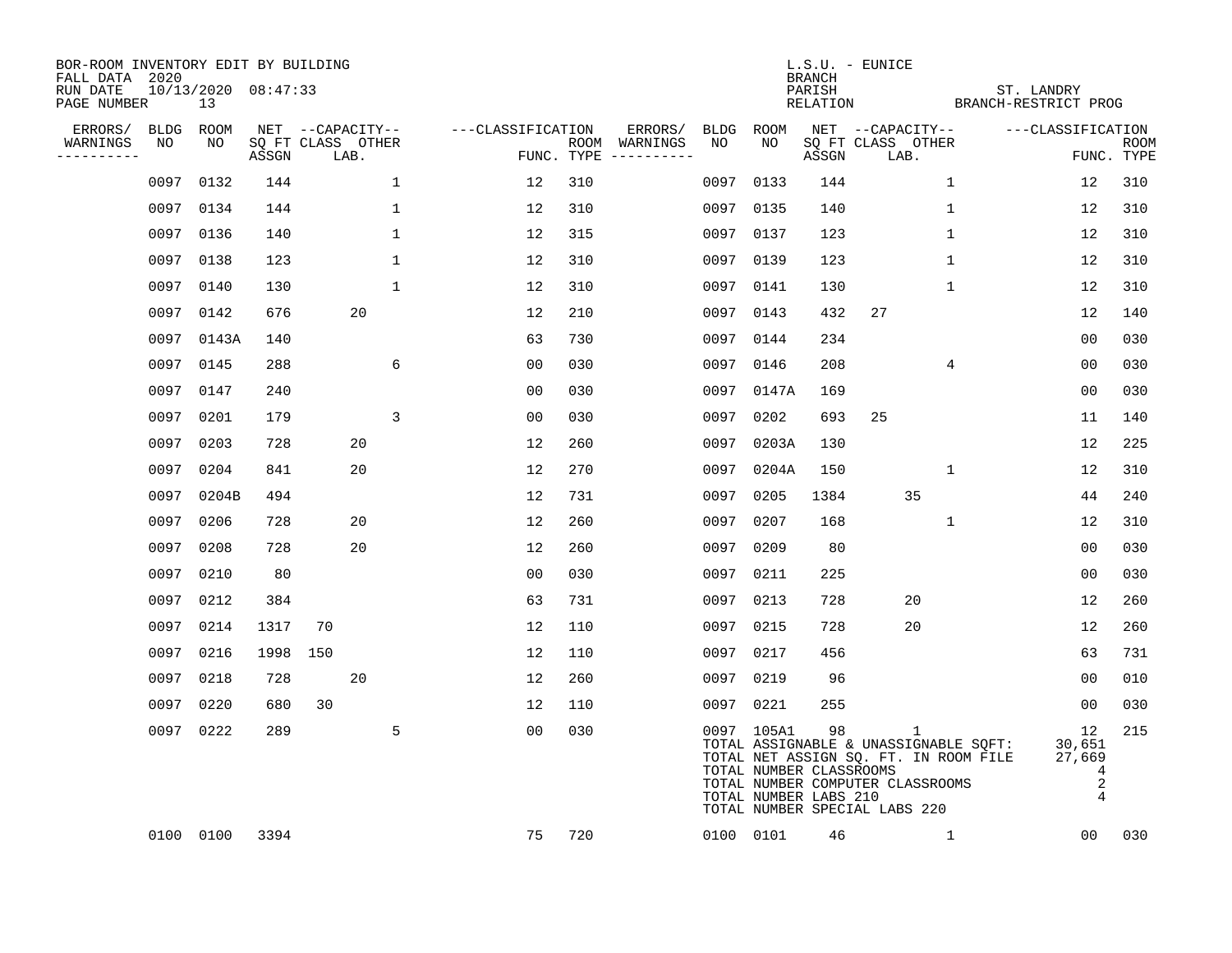| BOR-ROOM INVENTORY EDIT BY BUILDING<br>FALL DATA 2020 |           |                               |                            |    |                  |              |                   |     |                                      |      |                                                                | <b>BRANCH</b>      | $L.S.U. - EUNICE$                                                                                                                                                   |              |                                                                   |                    |
|-------------------------------------------------------|-----------|-------------------------------|----------------------------|----|------------------|--------------|-------------------|-----|--------------------------------------|------|----------------------------------------------------------------|--------------------|---------------------------------------------------------------------------------------------------------------------------------------------------------------------|--------------|-------------------------------------------------------------------|--------------------|
| RUN DATE<br>PAGE NUMBER                               |           | $10/13/2020$ $08:47:33$<br>13 |                            |    |                  |              |                   |     |                                      |      |                                                                | PARISH<br>RELATION |                                                                                                                                                                     |              | ST. LANDRY<br>BRANCH-RESTRICT PROG                                |                    |
| ERRORS/                                               |           | BLDG ROOM                     |                            |    | NET --CAPACITY-- |              | ---CLASSIFICATION |     | ERRORS/                              | BLDG | ROOM                                                           |                    | NET --CAPACITY--                                                                                                                                                    |              | ---CLASSIFICATION                                                 |                    |
| WARNINGS<br>----------                                | NO        | NO                            | SO FT CLASS OTHER<br>ASSGN |    | LAB.             |              |                   |     | ROOM WARNINGS<br>FUNC. TYPE $------$ | NO   | NO                                                             | ASSGN              | SQ FT CLASS OTHER<br>LAB.                                                                                                                                           |              |                                                                   | ROOM<br>FUNC. TYPE |
|                                                       | 0097      | 0132                          | 144                        |    |                  | $\mathbf 1$  | 12                | 310 |                                      | 0097 | 0133                                                           | 144                |                                                                                                                                                                     | 1            | 12                                                                | 310                |
|                                                       |           | 0097 0134                     | 144                        |    |                  | 1            | 12                | 310 |                                      |      | 0097 0135                                                      | 140                |                                                                                                                                                                     | 1            | 12                                                                | 310                |
|                                                       |           | 0097 0136                     | 140                        |    |                  | $\mathbf 1$  | 12                | 315 |                                      |      | 0097 0137                                                      | 123                |                                                                                                                                                                     | 1            | 12                                                                | 310                |
|                                                       | 0097 0138 |                               | 123                        |    |                  | $\mathbf{1}$ | 12                | 310 |                                      |      | 0097 0139                                                      | 123                |                                                                                                                                                                     | $\mathbf 1$  | 12                                                                | 310                |
|                                                       | 0097      | 0140                          | 130                        |    |                  | $\mathbf{1}$ | 12                | 310 |                                      |      | 0097 0141                                                      | 130                |                                                                                                                                                                     | $\mathbf{1}$ | 12                                                                | 310                |
|                                                       |           | 0097 0142                     | 676                        |    | 20               |              | 12                | 210 |                                      |      | 0097 0143                                                      | 432                | 27                                                                                                                                                                  |              | 12                                                                | 140                |
|                                                       |           | 0097 0143A                    | 140                        |    |                  |              | 63                | 730 |                                      |      | 0097 0144                                                      | 234                |                                                                                                                                                                     |              | 0 <sub>0</sub>                                                    | 030                |
|                                                       |           | 0097 0145                     | 288                        |    |                  | 6            | 0 <sub>0</sub>    | 030 |                                      |      | 0097 0146                                                      | 208                |                                                                                                                                                                     | 4            | 0 <sub>0</sub>                                                    | 030                |
|                                                       | 0097      | 0147                          | 240                        |    |                  |              | 0 <sub>0</sub>    | 030 |                                      |      | 0097 0147A                                                     | 169                |                                                                                                                                                                     |              | 0 <sub>0</sub>                                                    | 030                |
|                                                       | 0097      | 0201                          | 179                        |    |                  | 3            | 00                | 030 |                                      | 0097 | 0202                                                           | 693                | 25                                                                                                                                                                  |              | 11                                                                | 140                |
|                                                       | 0097      | 0203                          | 728                        |    | 20               |              | 12                | 260 |                                      | 0097 | 0203A                                                          | 130                |                                                                                                                                                                     |              | 12                                                                | 225                |
|                                                       | 0097      | 0204                          | 841                        |    | 20               |              | 12                | 270 |                                      | 0097 | 0204A                                                          | 150                |                                                                                                                                                                     | $\mathbf{1}$ | 12                                                                | 310                |
|                                                       | 0097      | 0204B                         | 494                        |    |                  |              | 12                | 731 |                                      | 0097 | 0205                                                           | 1384               | 35                                                                                                                                                                  |              | 44                                                                | 240                |
|                                                       | 0097      | 0206                          | 728                        |    | 20               |              | 12                | 260 |                                      | 0097 | 0207                                                           | 168                |                                                                                                                                                                     | $\mathbf 1$  | 12                                                                | 310                |
|                                                       | 0097      | 0208                          | 728                        |    | 20               |              | 12                | 260 |                                      | 0097 | 0209                                                           | 80                 |                                                                                                                                                                     |              | 0 <sub>0</sub>                                                    | 030                |
|                                                       | 0097      | 0210                          | 80                         |    |                  |              | 0 <sub>0</sub>    | 030 |                                      |      | 0097 0211                                                      | 225                |                                                                                                                                                                     |              | 0 <sub>0</sub>                                                    | 030                |
|                                                       | 0097      | 0212                          | 384                        |    |                  |              | 63                | 731 |                                      |      | 0097 0213                                                      | 728                | 20                                                                                                                                                                  |              | 12                                                                | 260                |
|                                                       | 0097      | 0214                          | 1317                       | 70 |                  |              | 12                | 110 |                                      |      | 0097 0215                                                      | 728                | 20                                                                                                                                                                  |              | 12                                                                | 260                |
|                                                       | 0097      | 0216                          | 1998 150                   |    |                  |              | 12                | 110 |                                      |      | 0097 0217                                                      | 456                |                                                                                                                                                                     |              | 63                                                                | 731                |
|                                                       | 0097      | 0218                          | 728                        |    | 20               |              | 12                | 260 |                                      |      | 0097 0219                                                      | 96                 |                                                                                                                                                                     |              | 00                                                                | 010                |
|                                                       | 0097      | 0220                          | 680                        | 30 |                  |              | 12                | 110 |                                      |      | 0097 0221                                                      | 255                |                                                                                                                                                                     |              | 0 <sub>0</sub>                                                    | 030                |
|                                                       |           | 0097 0222                     | 289                        |    |                  | 5            | 0 <sub>0</sub>    | 030 |                                      |      | 0097 105A1<br>TOTAL NUMBER CLASSROOMS<br>TOTAL NUMBER LABS 210 | 98                 | $\mathbf{1}$<br>TOTAL ASSIGNABLE & UNASSIGNABLE SQFT:<br>TOTAL NET ASSIGN SQ. FT. IN ROOM FILE<br>TOTAL NUMBER COMPUTER CLASSROOMS<br>TOTAL NUMBER SPECIAL LABS 220 |              | 12<br>30,651<br>27,669<br>4<br>$\boldsymbol{2}$<br>$\overline{4}$ | 215                |
|                                                       |           | 0100 0100                     | 3394                       |    |                  |              | 75                | 720 |                                      |      | 0100 0101                                                      | 46                 |                                                                                                                                                                     | $\mathbf{1}$ | 00                                                                | 030                |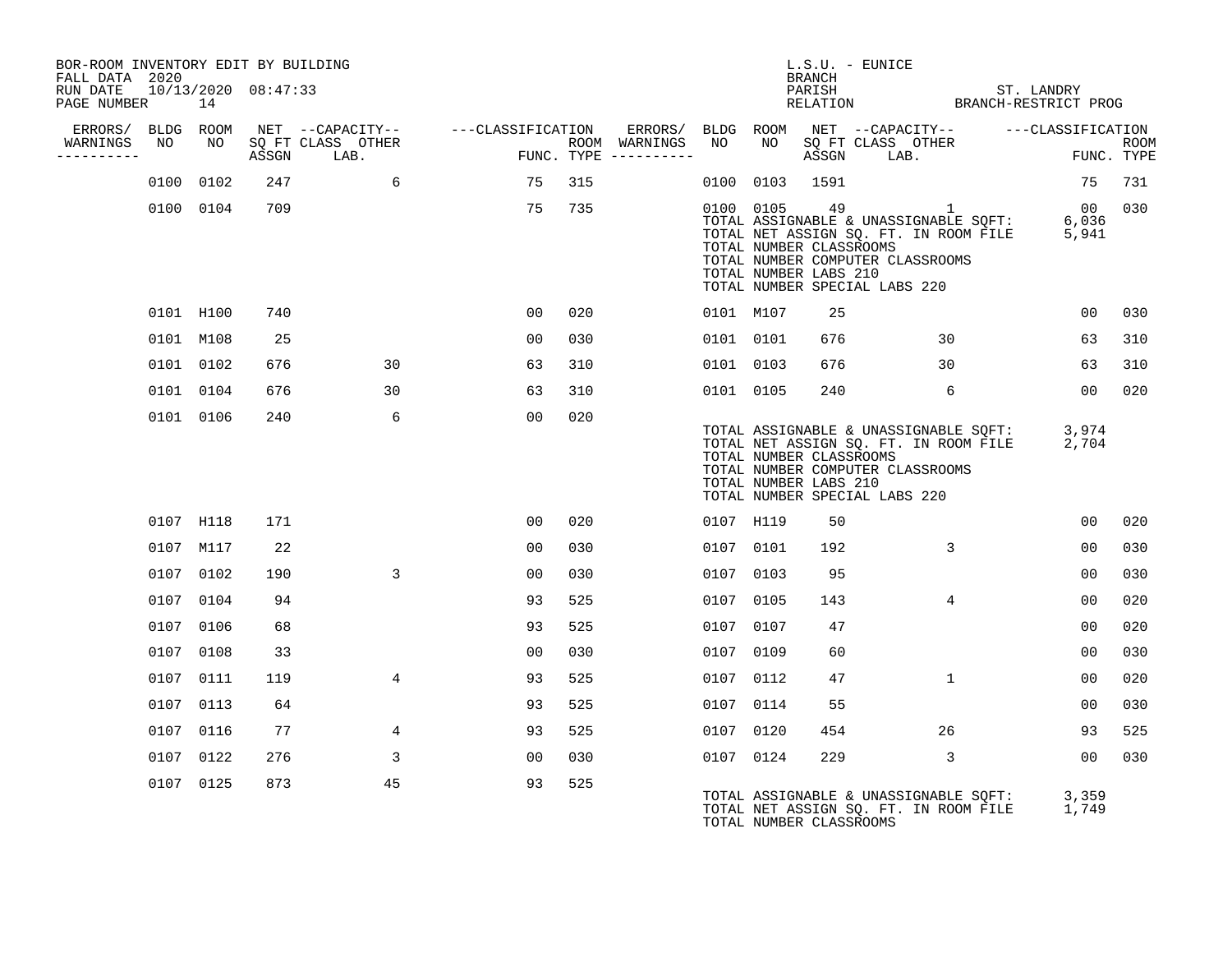| BOR-ROOM INVENTORY EDIT BY BUILDING<br>FALL DATA 2020 |    |           |                     |                                 |                                    |     |                                      |           |           | $L.S.U. - EUNICE$<br>BRANCH                      |                                                                                                                                                                                                             |                 |                    |
|-------------------------------------------------------|----|-----------|---------------------|---------------------------------|------------------------------------|-----|--------------------------------------|-----------|-----------|--------------------------------------------------|-------------------------------------------------------------------------------------------------------------------------------------------------------------------------------------------------------------|-----------------|--------------------|
| RUN DATE<br>PAGE NUMBER                               |    | 14        | 10/13/2020 08:47:33 |                                 |                                    |     |                                      |           |           | PARISH                                           | PARISH ST. LANDRY<br>RELATION BRANCH-RESTRICT PROG                                                                                                                                                          | ST. LANDRY      |                    |
| ERRORS/ BLDG ROOM                                     |    |           |                     |                                 | NET --CAPACITY-- ---CLASSIFICATION |     |                                      |           |           |                                                  | ERRORS/ BLDG ROOM NET --CAPACITY--    ---CLASSIFICATION                                                                                                                                                     |                 |                    |
| WARNINGS<br>----------                                | NO | NO        |                     | SQ FT CLASS OTHER<br>ASSGN LAB. | and the company                    |     | ROOM WARNINGS<br>FUNC. TYPE $------$ | NO        |           |                                                  | NO SQ FT CLASS OTHER<br>ASSGN LAB.                                                                                                                                                                          |                 | ROOM<br>FUNC. TYPE |
|                                                       |    | 0100 0102 | 247                 | 6                               | 75                                 | 315 |                                      |           |           | 0100 0103 1591                                   |                                                                                                                                                                                                             | 75              | 731                |
|                                                       |    | 0100 0104 | 709                 |                                 | 75                                 | 735 |                                      |           | 0100 0105 | TOTAL NUMBER CLASSROOMS<br>TOTAL NUMBER LABS 210 | 49 and $\overline{49}$<br>$\overline{1}$<br>TOTAL ASSIGNABLE & UNASSIGNABLE SQFT: 6,036<br>TOTAL NET ASSIGN SQ. FT. IN ROOM FILE 5,941<br>TOTAL NUMBER COMPUTER CLASSROOMS<br>TOTAL NUMBER SPECIAL LABS 220 | 00 030          |                    |
|                                                       |    | 0101 H100 | 740                 |                                 | 00                                 | 020 |                                      | 0101 M107 |           | 25                                               |                                                                                                                                                                                                             | 00 <sub>o</sub> | 030                |
|                                                       |    | 0101 M108 | 25                  |                                 | 00                                 | 030 |                                      | 0101 0101 |           | 676                                              | 30                                                                                                                                                                                                          | 63              | 310                |
|                                                       |    | 0101 0102 | 676                 | 30                              | 63                                 | 310 |                                      | 0101 0103 |           | 676                                              | 30                                                                                                                                                                                                          | 63              | 310                |
|                                                       |    | 0101 0104 | 676                 | 30                              | 63                                 | 310 |                                      | 0101 0105 |           | 240                                              | 6                                                                                                                                                                                                           | 00 <sub>o</sub> | 020                |
|                                                       |    | 0101 0106 | 240                 | 6                               | 0 <sub>0</sub>                     | 020 |                                      |           |           | TOTAL NUMBER CLASSROOMS<br>TOTAL NUMBER LABS 210 | TOTAL ASSIGNABLE & UNASSIGNABLE SQFT:<br>TOTAL NET ASSIGN SQ. FT. IN ROOM FILE<br>TOTAL NUMBER COMPUTER CLASSROOMS<br>TOTAL NUMBER SPECIAL LABS 220                                                         | 3,974<br>2,704  |                    |
|                                                       |    | 0107 H118 | 171                 |                                 | 00                                 | 020 |                                      | 0107 H119 |           | 50                                               |                                                                                                                                                                                                             | 0 <sub>0</sub>  | 020                |
|                                                       |    | 0107 M117 | 22                  |                                 | 00                                 | 030 |                                      | 0107 0101 |           | 192                                              | 3                                                                                                                                                                                                           | 0 <sub>0</sub>  | 030                |
|                                                       |    | 0107 0102 | 190                 | 3                               | 00                                 | 030 |                                      | 0107 0103 |           | 95                                               |                                                                                                                                                                                                             | 00              | 030                |
|                                                       |    | 0107 0104 | 94                  |                                 | 93                                 | 525 |                                      | 0107 0105 |           | 143                                              | $4\overline{ }$                                                                                                                                                                                             | 00              | 020                |
|                                                       |    | 0107 0106 | 68                  |                                 | 93                                 | 525 |                                      | 0107 0107 |           | 47                                               |                                                                                                                                                                                                             | 0 <sub>0</sub>  | 020                |
|                                                       |    | 0107 0108 | 33                  |                                 | 00                                 | 030 |                                      | 0107 0109 |           | 60                                               |                                                                                                                                                                                                             | 00              | 030                |
|                                                       |    | 0107 0111 | 119                 | $4\overline{ }$                 | 93                                 | 525 |                                      | 0107 0112 |           | 47                                               | $\mathbf{1}$                                                                                                                                                                                                | 00              | 020                |
|                                                       |    | 0107 0113 | 64                  |                                 | 93                                 | 525 |                                      | 0107 0114 |           | 55                                               |                                                                                                                                                                                                             | 00              | 030                |
|                                                       |    | 0107 0116 | 77                  | 4                               | 93                                 | 525 |                                      | 0107 0120 |           | 454                                              | 26                                                                                                                                                                                                          | 93              | 525                |
|                                                       |    | 0107 0122 | 276                 | 3                               | 00                                 | 030 |                                      | 0107 0124 |           | 229                                              | 3                                                                                                                                                                                                           | 00              | 030                |
|                                                       |    | 0107 0125 | 873                 | 45                              | 93                                 | 525 |                                      |           |           | TOTAL NUMBER CLASSROOMS                          | TOTAL ASSIGNABLE & UNASSIGNABLE SQFT:<br>TOTAL NET ASSIGN SQ. FT. IN ROOM FILE                                                                                                                              | 3,359<br>1,749  |                    |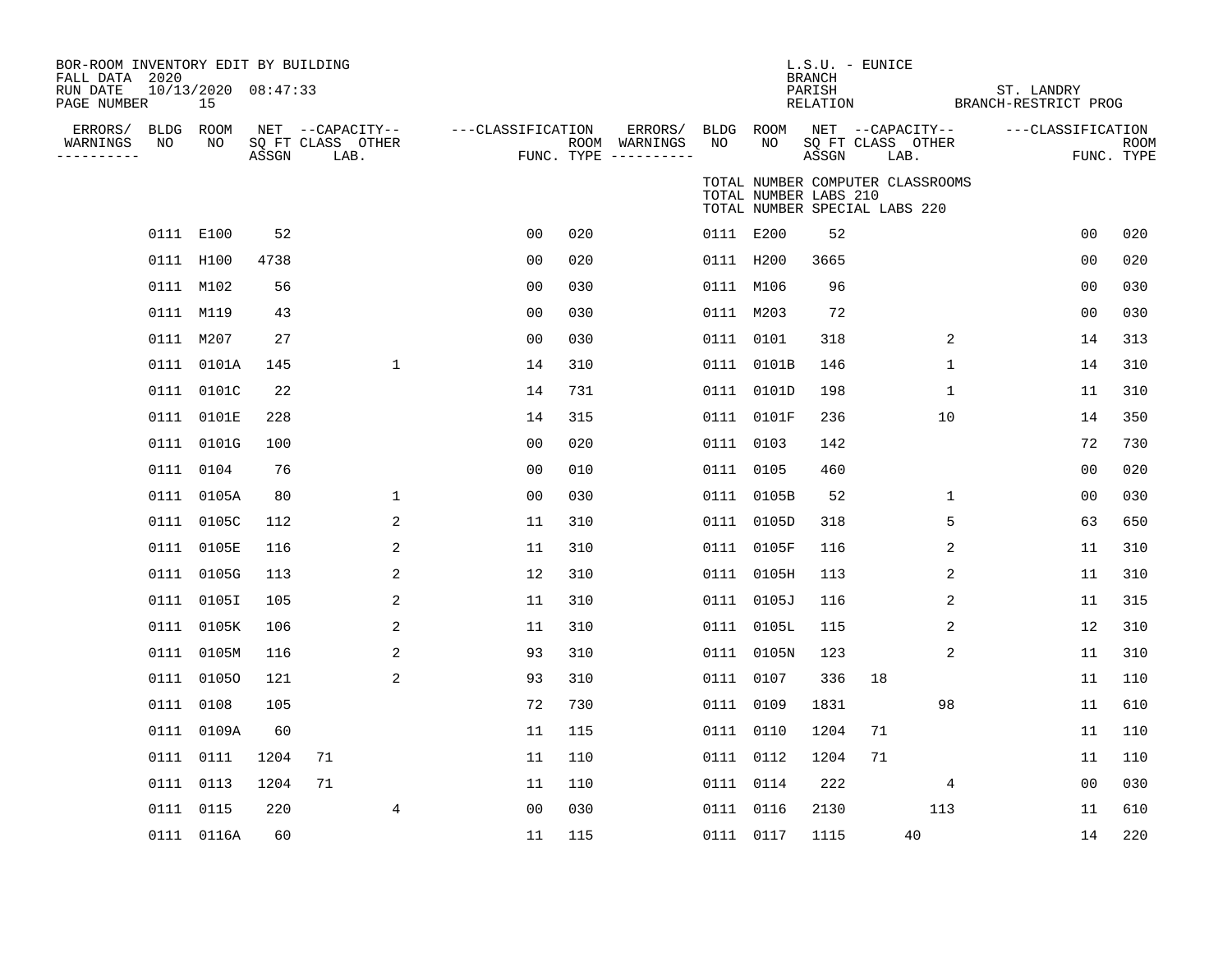| BOR-ROOM INVENTORY EDIT BY BUILDING<br>FALL DATA 2020<br>RUN DATE<br>PAGE NUMBER |    | $10/13/2020$ $08:47:33$<br>15 |       |                                               |                   |     |                                                 |                 |                       | <b>BRANCH</b><br>PARISH<br>RELATION | $L.S.U. - EUNICE$                                                 |             | BRANCH-RESTRICT PROG | ST. LANDRY |                                 |      |
|----------------------------------------------------------------------------------|----|-------------------------------|-------|-----------------------------------------------|-------------------|-----|-------------------------------------------------|-----------------|-----------------------|-------------------------------------|-------------------------------------------------------------------|-------------|----------------------|------------|---------------------------------|------|
| ERRORS/ BLDG ROOM<br>WARNINGS<br>----------                                      | NO | NO                            | ASSGN | NET --CAPACITY--<br>SQ FT CLASS OTHER<br>LAB. | ---CLASSIFICATION |     | ERRORS/<br>ROOM WARNINGS<br>FUNC. TYPE $------$ | BLDG ROOM<br>NO | NO.                   | ASSGN                               | NET --CAPACITY--<br>SQ FT CLASS OTHER<br>LAB.                     |             |                      |            | ---CLASSIFICATION<br>FUNC. TYPE | ROOM |
|                                                                                  |    |                               |       |                                               |                   |     |                                                 |                 | TOTAL NUMBER LABS 210 |                                     | TOTAL NUMBER COMPUTER CLASSROOMS<br>TOTAL NUMBER SPECIAL LABS 220 |             |                      |            |                                 |      |
|                                                                                  |    | 0111 E100                     | 52    |                                               | 0 <sub>0</sub>    | 020 |                                                 | 0111 E200       |                       | 52                                  |                                                                   |             |                      |            | 0 <sub>0</sub>                  | 020  |
|                                                                                  |    | 0111 H100                     | 4738  |                                               | 0 <sub>0</sub>    | 020 |                                                 | 0111 H200       |                       | 3665                                |                                                                   |             |                      |            | 0 <sub>0</sub>                  | 020  |
|                                                                                  |    | 0111 M102                     | 56    |                                               | 00                | 030 |                                                 | 0111 M106       |                       | 96                                  |                                                                   |             |                      |            | 0 <sub>0</sub>                  | 030  |
|                                                                                  |    | 0111 M119                     | 43    |                                               | 00                | 030 |                                                 | 0111 M203       |                       | 72                                  |                                                                   |             |                      |            | 0 <sub>0</sub>                  | 030  |
|                                                                                  |    | 0111 M207                     | 27    |                                               | 00                | 030 |                                                 | 0111 0101       |                       | 318                                 |                                                                   | 2           |                      |            | 14                              | 313  |
|                                                                                  |    | 0111 0101A                    | 145   | $\mathbf{1}$                                  | 14                | 310 |                                                 |                 | 0111 0101B            | 146                                 |                                                                   | 1           |                      |            | 14                              | 310  |
|                                                                                  |    | 0111 0101C                    | 22    |                                               | 14                | 731 |                                                 |                 | 0111 0101D            | 198                                 |                                                                   | $\mathbf 1$ |                      |            | 11                              | 310  |
|                                                                                  |    | 0111 0101E                    | 228   |                                               | 14                | 315 |                                                 |                 | 0111 0101F            | 236                                 |                                                                   | 10          |                      |            | 14                              | 350  |
|                                                                                  |    | 0111 0101G                    | 100   |                                               | 00                | 020 |                                                 | 0111 0103       |                       | 142                                 |                                                                   |             |                      |            | 72                              | 730  |
|                                                                                  |    | 0111 0104                     | 76    |                                               | 00                | 010 |                                                 | 0111 0105       |                       | 460                                 |                                                                   |             |                      |            | 00                              | 020  |
|                                                                                  |    | 0111 0105A                    | 80    | $\mathbf 1$                                   | 00                | 030 |                                                 |                 | 0111 0105B            | 52                                  |                                                                   | 1           |                      |            | 00                              | 030  |
|                                                                                  |    | 0111 0105C                    | 112   | 2                                             | 11                | 310 |                                                 |                 | 0111 0105D            | 318                                 |                                                                   | 5           |                      |            | 63                              | 650  |
|                                                                                  |    | 0111 0105E                    | 116   | 2                                             | 11                | 310 |                                                 |                 | 0111 0105F            | 116                                 |                                                                   | 2           |                      |            | 11                              | 310  |
|                                                                                  |    | 0111 0105G                    | 113   | 2                                             | 12                | 310 |                                                 |                 | 0111 0105H            | 113                                 |                                                                   | 2           |                      |            | 11                              | 310  |
|                                                                                  |    | 0111 0105I                    | 105   | 2                                             | 11                | 310 |                                                 |                 | 0111 0105J            | 116                                 |                                                                   | 2           |                      |            | 11                              | 315  |
|                                                                                  |    | 0111 0105K                    | 106   | 2                                             | 11                | 310 |                                                 |                 | 0111 0105L            | 115                                 |                                                                   | 2           |                      |            | 12                              | 310  |
|                                                                                  |    | 0111 0105M                    | 116   | 2                                             | 93                | 310 |                                                 |                 | 0111 0105N            | 123                                 |                                                                   | 2           |                      |            | 11                              | 310  |
|                                                                                  |    | 0111 01050                    | 121   | 2                                             | 93                | 310 |                                                 | 0111 0107       |                       | 336                                 | 18                                                                |             |                      |            | 11                              | 110  |
|                                                                                  |    | 0111 0108                     | 105   |                                               | 72                | 730 |                                                 | 0111 0109       |                       | 1831                                |                                                                   | 98          |                      |            | 11                              | 610  |
|                                                                                  |    | 0111 0109A                    | 60    |                                               | 11                | 115 |                                                 | 0111 0110       |                       | 1204                                | 71                                                                |             |                      |            | 11                              | 110  |
|                                                                                  |    | 0111 0111                     | 1204  | 71                                            | 11                | 110 |                                                 | 0111 0112       |                       | 1204                                | 71                                                                |             |                      |            | 11                              | 110  |
|                                                                                  |    | 0111 0113                     | 1204  | 71                                            | 11                | 110 |                                                 | 0111 0114       |                       | 222                                 |                                                                   | 4           |                      |            | 00                              | 030  |
|                                                                                  |    | 0111 0115                     | 220   | 4                                             | 0 <sub>0</sub>    | 030 |                                                 | 0111 0116       |                       | 2130                                |                                                                   | 113         |                      |            | 11                              | 610  |
|                                                                                  |    | 0111 0116A                    | 60    |                                               | 11                | 115 |                                                 | 0111 0117       |                       | 1115                                |                                                                   | 40          |                      |            | 14                              | 220  |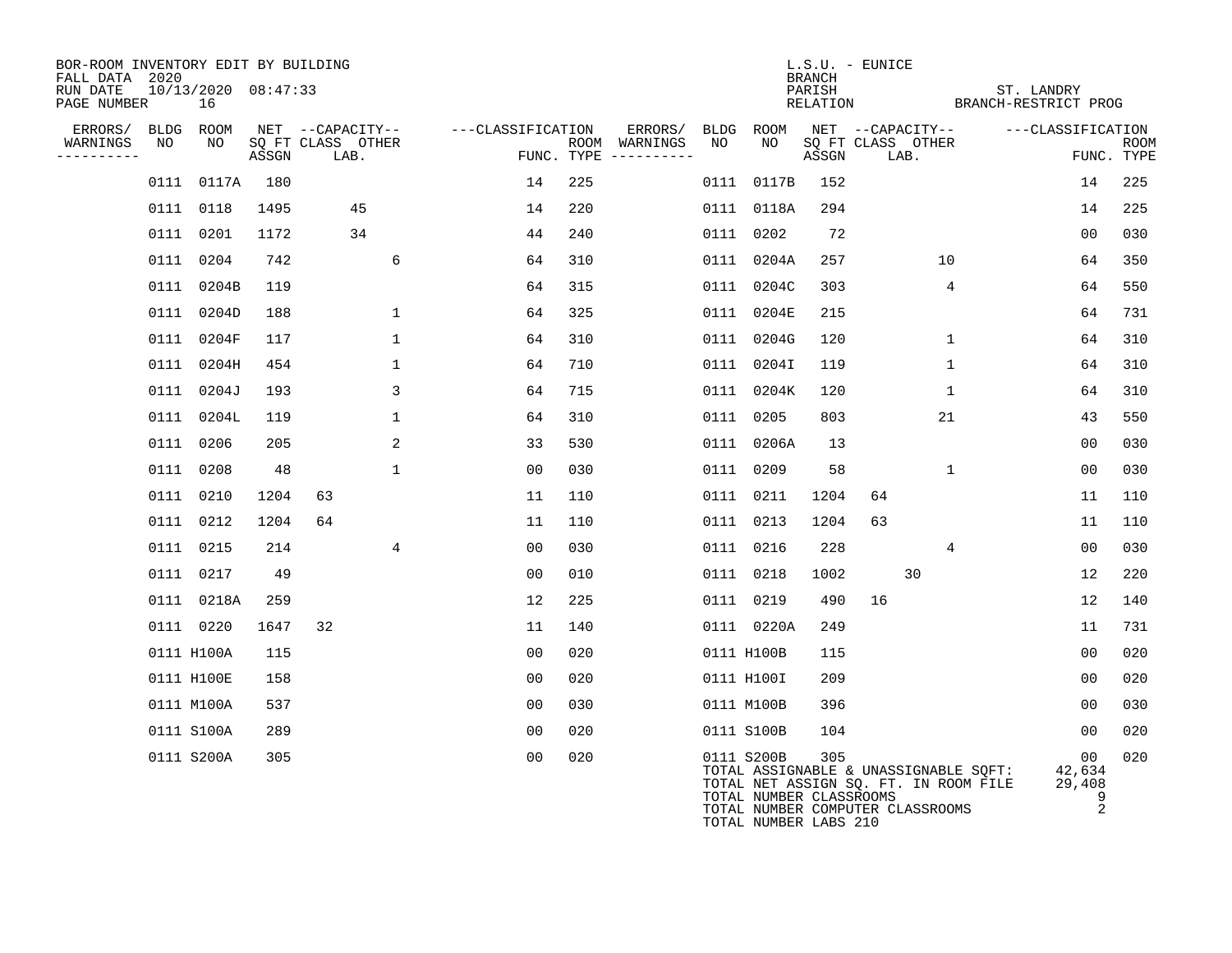| BOR-ROOM INVENTORY EDIT BY BUILDING<br>FALL DATA 2020 |      |                           |       |                           |              |                   |     |                                      |      |                                                                           | <b>BRANCH</b> | L.S.U. - EUNICE   |              |                                                                                |                                  |                    |
|-------------------------------------------------------|------|---------------------------|-------|---------------------------|--------------|-------------------|-----|--------------------------------------|------|---------------------------------------------------------------------------|---------------|-------------------|--------------|--------------------------------------------------------------------------------|----------------------------------|--------------------|
| RUN DATE<br>PAGE NUMBER                               |      | 10/13/2020 08:47:33<br>16 |       |                           |              |                   |     |                                      |      |                                                                           | PARISH        |                   |              | ST. LANDRY<br>RELATION BRANCH-RESTRICT PROG                                    |                                  |                    |
| ERRORS/                                               | BLDG | ROOM                      |       | NET --CAPACITY--          |              | ---CLASSIFICATION |     | ERRORS/                              | BLDG | ROOM                                                                      |               | NET --CAPACITY--  |              |                                                                                | ---CLASSIFICATION                |                    |
| WARNINGS<br>----------                                | NO   | NO                        | ASSGN | SQ FT CLASS OTHER<br>LAB. |              |                   |     | ROOM WARNINGS<br>FUNC. TYPE $------$ | NO   | NO                                                                        | ASSGN         | SQ FT CLASS OTHER | LAB.         |                                                                                |                                  | ROOM<br>FUNC. TYPE |
|                                                       |      | 0111 0117A                | 180   |                           |              | 14                | 225 |                                      |      | 0111 0117B                                                                | 152           |                   |              |                                                                                | 14                               | 225                |
|                                                       |      | 0111 0118                 | 1495  | 45                        |              | 14                | 220 |                                      |      | 0111 0118A                                                                | 294           |                   |              |                                                                                | 14                               | 225                |
|                                                       |      | 0111 0201                 | 1172  | 34                        |              | 44                | 240 |                                      | 0111 | 0202                                                                      | 72            |                   |              |                                                                                | 0 <sub>0</sub>                   | 030                |
|                                                       |      | 0111 0204                 | 742   |                           | 6            | 64                | 310 |                                      | 0111 | 0204A                                                                     | 257           |                   | 10           |                                                                                | 64                               | 350                |
|                                                       |      | 0111 0204B                | 119   |                           |              | 64                | 315 |                                      |      | 0111 0204C                                                                | 303           |                   | 4            |                                                                                | 64                               | 550                |
|                                                       |      | 0111 0204D                | 188   |                           | $\mathbf{1}$ | 64                | 325 |                                      |      | 0111 0204E                                                                | 215           |                   |              |                                                                                | 64                               | 731                |
|                                                       |      | 0111 0204F                | 117   |                           | $\mathbf{1}$ | 64                | 310 |                                      |      | 0111 0204G                                                                | 120           |                   | $\mathbf{1}$ |                                                                                | 64                               | 310                |
|                                                       |      | 0111 0204H                | 454   |                           | $\mathbf{1}$ | 64                | 710 |                                      |      | 0111 0204I                                                                | 119           |                   | $\mathbf 1$  |                                                                                | 64                               | 310                |
|                                                       |      | 0111 0204J                | 193   |                           | 3            | 64                | 715 |                                      |      | 0111 0204K                                                                | 120           |                   | $\mathbf{1}$ |                                                                                | 64                               | 310                |
|                                                       |      | 0111 0204L                | 119   |                           | $\mathbf{1}$ | 64                | 310 |                                      | 0111 | 0205                                                                      | 803           |                   | 21           |                                                                                | 43                               | 550                |
|                                                       |      | 0111 0206                 | 205   |                           | 2            | 33                | 530 |                                      |      | 0111 0206A                                                                | 13            |                   |              |                                                                                | 0 <sub>0</sub>                   | 030                |
|                                                       |      | 0111 0208                 | 48    |                           | 1            | 00                | 030 |                                      |      | 0111 0209                                                                 | 58            |                   | $\mathbf{1}$ |                                                                                | 00                               | 030                |
|                                                       |      | 0111 0210                 | 1204  | 63                        |              | 11                | 110 |                                      |      | 0111 0211                                                                 | 1204          | 64                |              |                                                                                | 11                               | 110                |
|                                                       |      | 0111 0212                 | 1204  | 64                        |              | 11                | 110 |                                      |      | 0111 0213                                                                 | 1204          | 63                |              |                                                                                | 11                               | 110                |
|                                                       |      | 0111 0215                 | 214   |                           | 4            | 0 <sub>0</sub>    | 030 |                                      |      | 0111 0216                                                                 | 228           |                   | 4            |                                                                                | 0 <sub>0</sub>                   | 030                |
|                                                       |      | 0111 0217                 | 49    |                           |              | 0 <sub>0</sub>    | 010 |                                      |      | 0111 0218                                                                 | 1002          |                   | 30           |                                                                                | 12                               | 220                |
|                                                       |      | 0111 0218A                | 259   |                           |              | 12                | 225 |                                      |      | 0111 0219                                                                 | 490           | 16                |              |                                                                                | 12                               | 140                |
|                                                       |      | 0111 0220                 | 1647  | 32                        |              | 11                | 140 |                                      |      | 0111 0220A                                                                | 249           |                   |              |                                                                                | 11                               | 731                |
|                                                       |      | 0111 H100A                | 115   |                           |              | 0 <sub>0</sub>    | 020 |                                      |      | 0111 H100B                                                                | 115           |                   |              |                                                                                | 0 <sub>0</sub>                   | 020                |
|                                                       |      | 0111 H100E                | 158   |                           |              | 0 <sub>0</sub>    | 020 |                                      |      | 0111 H100I                                                                | 209           |                   |              |                                                                                | 0 <sub>0</sub>                   | 020                |
|                                                       |      | 0111 M100A                | 537   |                           |              | 0 <sub>0</sub>    | 030 |                                      |      | 0111 M100B                                                                | 396           |                   |              |                                                                                | 0 <sub>0</sub>                   | 030                |
|                                                       |      | 0111 S100A                | 289   |                           |              | 0 <sub>0</sub>    | 020 |                                      |      | 0111 S100B                                                                | 104           |                   |              |                                                                                | 00                               | 020                |
|                                                       |      | 0111 S200A                | 305   |                           |              | 0 <sub>0</sub>    | 020 |                                      |      | 0111 S200B<br>TOTAL NUMBER CLASSROOMS<br>TOTAL NUMBER COMPUTER CLASSROOMS | 305           |                   |              | TOTAL ASSIGNABLE & UNASSIGNABLE SQFT:<br>TOTAL NET ASSIGN SQ. FT. IN ROOM FILE | 00<br>42,634<br>29,408<br>9<br>2 | 020                |

TOTAL NUMBER LABS 210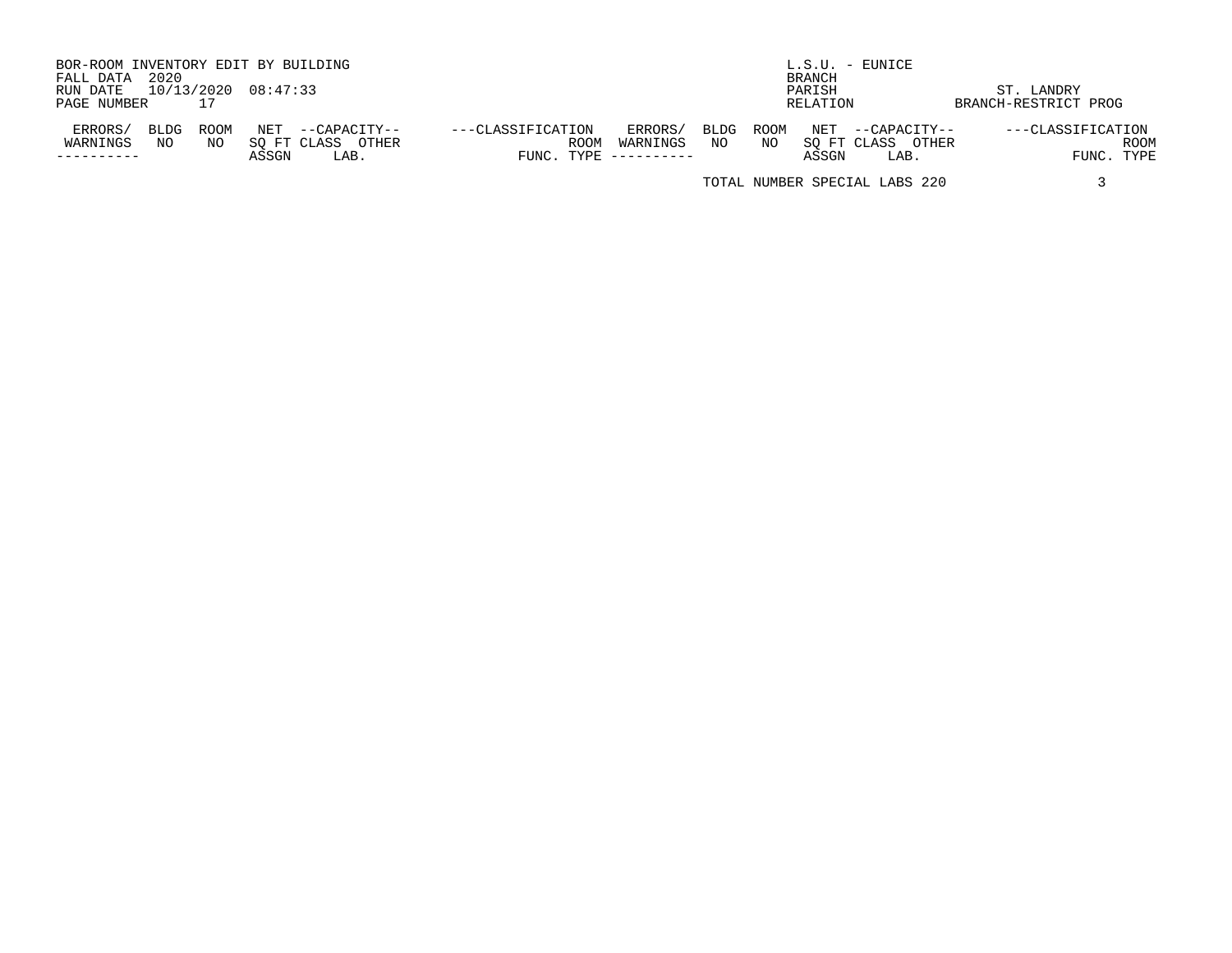| BOR-ROOM INVENTORY EDIT BY BUILDING |      |      |                     |                   |                   |      |                     |      |      |                      | L.S.U. - EUNICE               |                      |             |
|-------------------------------------|------|------|---------------------|-------------------|-------------------|------|---------------------|------|------|----------------------|-------------------------------|----------------------|-------------|
| FALL DATA                           | 2020 |      |                     |                   |                   |      |                     |      |      | <b>BRANCH</b>        |                               |                      |             |
| RUN DATE                            |      |      | 10/13/2020 08:47:33 |                   |                   |      |                     |      |      | PARISH               |                               | ST. LANDRY           |             |
| PAGE NUMBER                         |      | 17   |                     |                   |                   |      |                     |      |      | RELATION             |                               | BRANCH-RESTRICT PROG |             |
| ERRORS/                             | BLDG | ROOM | NET                 | --CAPACITY--      | ---CLASSIFICATION |      | ERRORS/             | BLDG | ROOM | $\operatorname{NET}$ | --CAPACITY--                  | ---CLASSIFICATION    |             |
| WARNINGS                            | NO   | NO   |                     | SO FT CLASS OTHER |                   | ROOM | WARNINGS            | NO   | NO   |                      | SO FT CLASS OTHER             |                      | <b>ROOM</b> |
|                                     |      |      | ASSGN               | LAB.              |                   |      | FUNC. TYPE $------$ |      |      | ASSGN                | LAB.                          |                      | FUNC. TYPE  |
|                                     |      |      |                     |                   |                   |      |                     |      |      |                      | TOTAL NUMBER SPECIAL LABS 220 |                      |             |